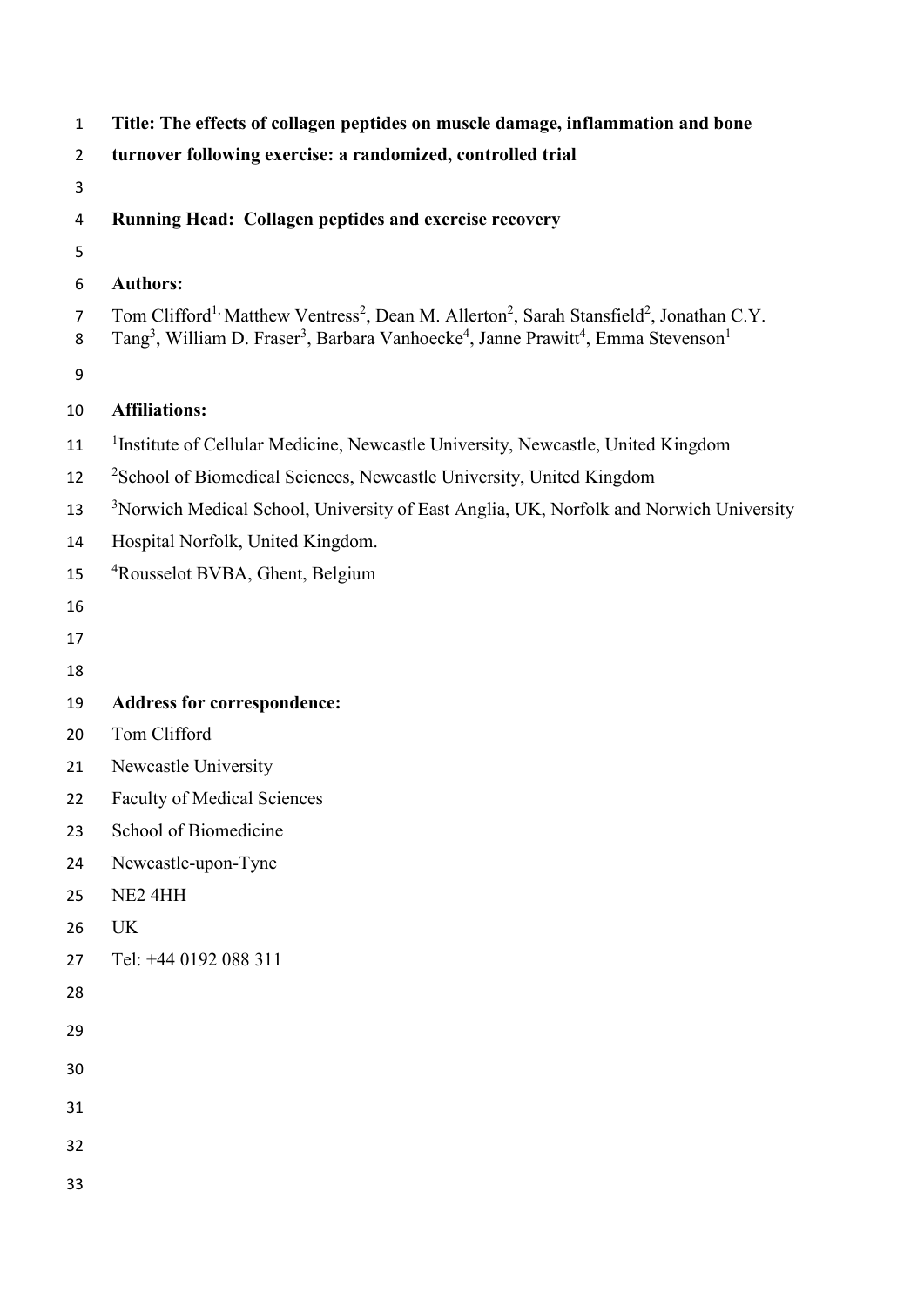| $\mathbf 1$         | Title: The effects of collagen peptides on muscle damage, inflammation and bone                                                                                                                                                                                                            |
|---------------------|--------------------------------------------------------------------------------------------------------------------------------------------------------------------------------------------------------------------------------------------------------------------------------------------|
| $\overline{2}$      | turnover following exercise: a randomized, controlled trial                                                                                                                                                                                                                                |
| 3                   |                                                                                                                                                                                                                                                                                            |
| 4                   | Running Head: Collagen peptides and exercise recovery                                                                                                                                                                                                                                      |
| 5                   |                                                                                                                                                                                                                                                                                            |
| 6                   | <b>Authors:</b>                                                                                                                                                                                                                                                                            |
| $\overline{7}$<br>8 | Tom Clifford <sup>1,</sup> Matthew Ventress <sup>2</sup> , Dean M. Allerton <sup>2</sup> , Sarah Stansfield <sup>2</sup> , Jonathan C.Y.<br>Tang <sup>3</sup> , William D. Fraser <sup>3</sup> , Barbara Vanhoecke <sup>4</sup> , Janne Prawitt <sup>4</sup> , Emma Stevenson <sup>1</sup> |
| 9                   |                                                                                                                                                                                                                                                                                            |
| 10                  | <b>Affiliations:</b>                                                                                                                                                                                                                                                                       |
| 11                  | <sup>1</sup> Institute of Cellular Medicine, Newcastle University, Newcastle, United Kingdom                                                                                                                                                                                               |
| 12                  | <sup>2</sup> School of Biomedical Sciences, Newcastle University, United Kingdom                                                                                                                                                                                                           |
| 13                  | <sup>3</sup> Norwich Medical School, University of East Anglia, UK, Norfolk and Norwich University                                                                                                                                                                                         |
| 14                  | Hospital Norfolk, United Kingdom.                                                                                                                                                                                                                                                          |
| 15                  | <sup>4</sup> Rousselot BVBA, Ghent, Belgium                                                                                                                                                                                                                                                |
| 16                  |                                                                                                                                                                                                                                                                                            |
| 17                  |                                                                                                                                                                                                                                                                                            |
| 18                  |                                                                                                                                                                                                                                                                                            |
| 19                  | <b>Address for correspondence:</b>                                                                                                                                                                                                                                                         |
| 20                  | Tom Clifford                                                                                                                                                                                                                                                                               |
| 21                  | Newcastle University                                                                                                                                                                                                                                                                       |
| 22                  | <b>Faculty of Medical Sciences</b>                                                                                                                                                                                                                                                         |
| 23                  | School of Biomedicine                                                                                                                                                                                                                                                                      |
| 24                  | Newcastle-upon-Tyne                                                                                                                                                                                                                                                                        |
| 25                  | NE2 4HH                                                                                                                                                                                                                                                                                    |
| 26                  | <b>UK</b>                                                                                                                                                                                                                                                                                  |
| 27                  | Tel: +44 0192 088 311                                                                                                                                                                                                                                                                      |
| 28                  |                                                                                                                                                                                                                                                                                            |
| 29                  |                                                                                                                                                                                                                                                                                            |
| 30                  |                                                                                                                                                                                                                                                                                            |
| 31                  |                                                                                                                                                                                                                                                                                            |
| 32                  |                                                                                                                                                                                                                                                                                            |
| 33                  |                                                                                                                                                                                                                                                                                            |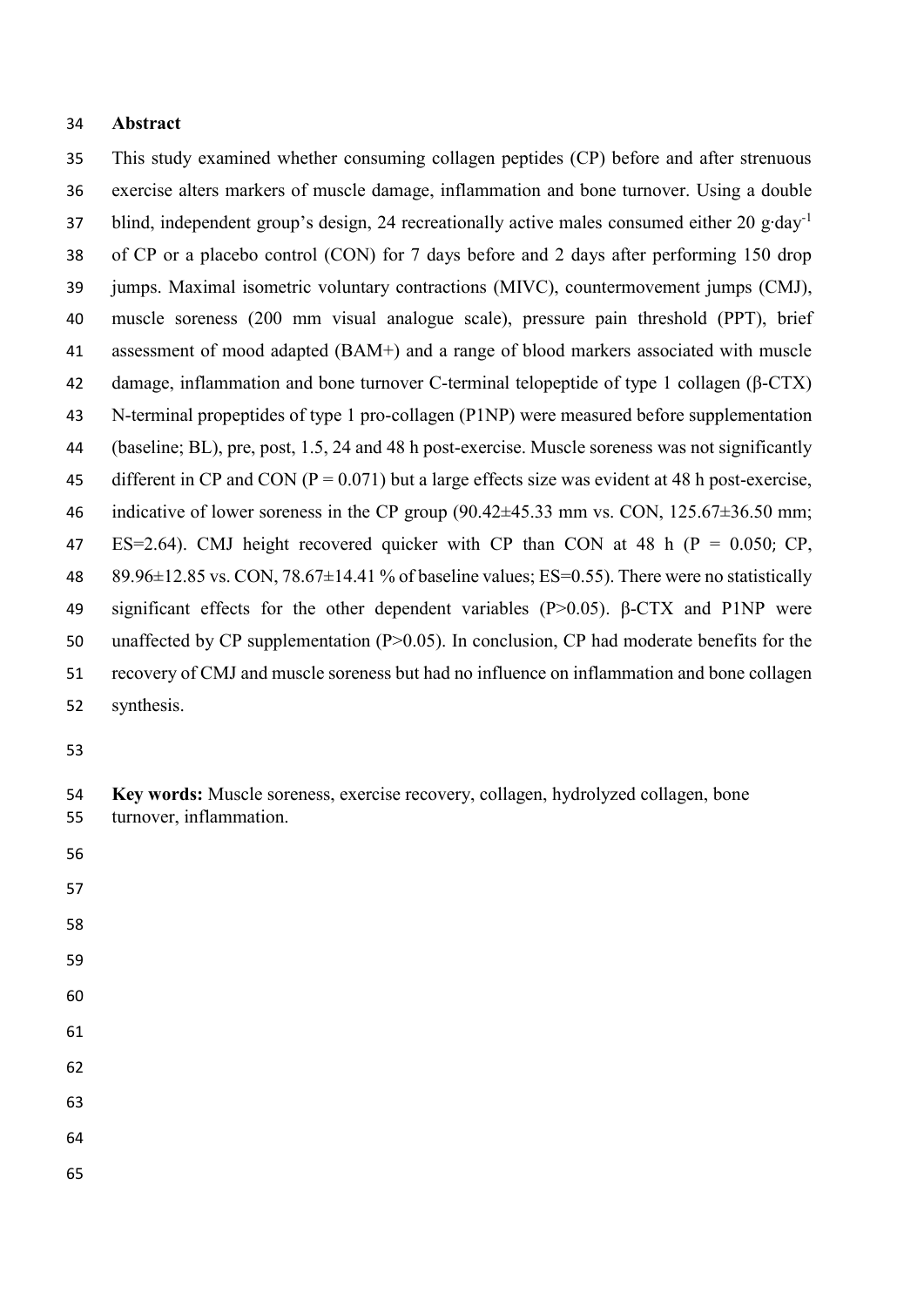### **Abstract**

 This study examined whether consuming collagen peptides (CP) before and after strenuous exercise alters markers of muscle damage, inflammation and bone turnover. Using a double blind, independent group's design, 24 recreationally active males consumed either 20 g∙day-1 of CP or a placebo control (CON) for 7 days before and 2 days after performing 150 drop jumps. Maximal isometric voluntary contractions (MIVC), countermovement jumps (CMJ), muscle soreness (200 mm visual analogue scale), pressure pain threshold (PPT), brief assessment of mood adapted (BAM+) and a range of blood markers associated with muscle damage, inflammation and bone turnover C-terminal telopeptide of type 1 collagen (β-CTX) N-terminal propeptides of type 1 pro-collagen (P1NP) were measured before supplementation (baseline; BL), pre, post, 1.5, 24 and 48 h post-exercise. Muscle soreness was not significantly 45 different in CP and CON ( $P = 0.071$ ) but a large effects size was evident at 48 h post-exercise, 46 indicative of lower soreness in the CP group  $(90.42\pm 45.33 \text{ mm} \text{ vs. CON}, 125.67\pm 36.50 \text{ mm})$ ; 47 ES=2.64). CMJ height recovered quicker with CP than CON at 48 h ( $P = 0.050$ ; CP, 48 89.96 $\pm$ 12.85 vs. CON, 78.67 $\pm$ 14.41 % of baseline values; ES=0.55). There were no statistically significant effects for the other dependent variables (P>0.05). β-CTX and P1NP were 50 unaffected by CP supplementation (P $>0.05$ ). In conclusion, CP had moderate benefits for the recovery of CMJ and muscle soreness but had no influence on inflammation and bone collagen synthesis.

- 
- 
- 
- 
- 
- 
- 

- 
- 
- 

 **Key words:** Muscle soreness, exercise recovery, collagen, hydrolyzed collagen, bone turnover, inflammation.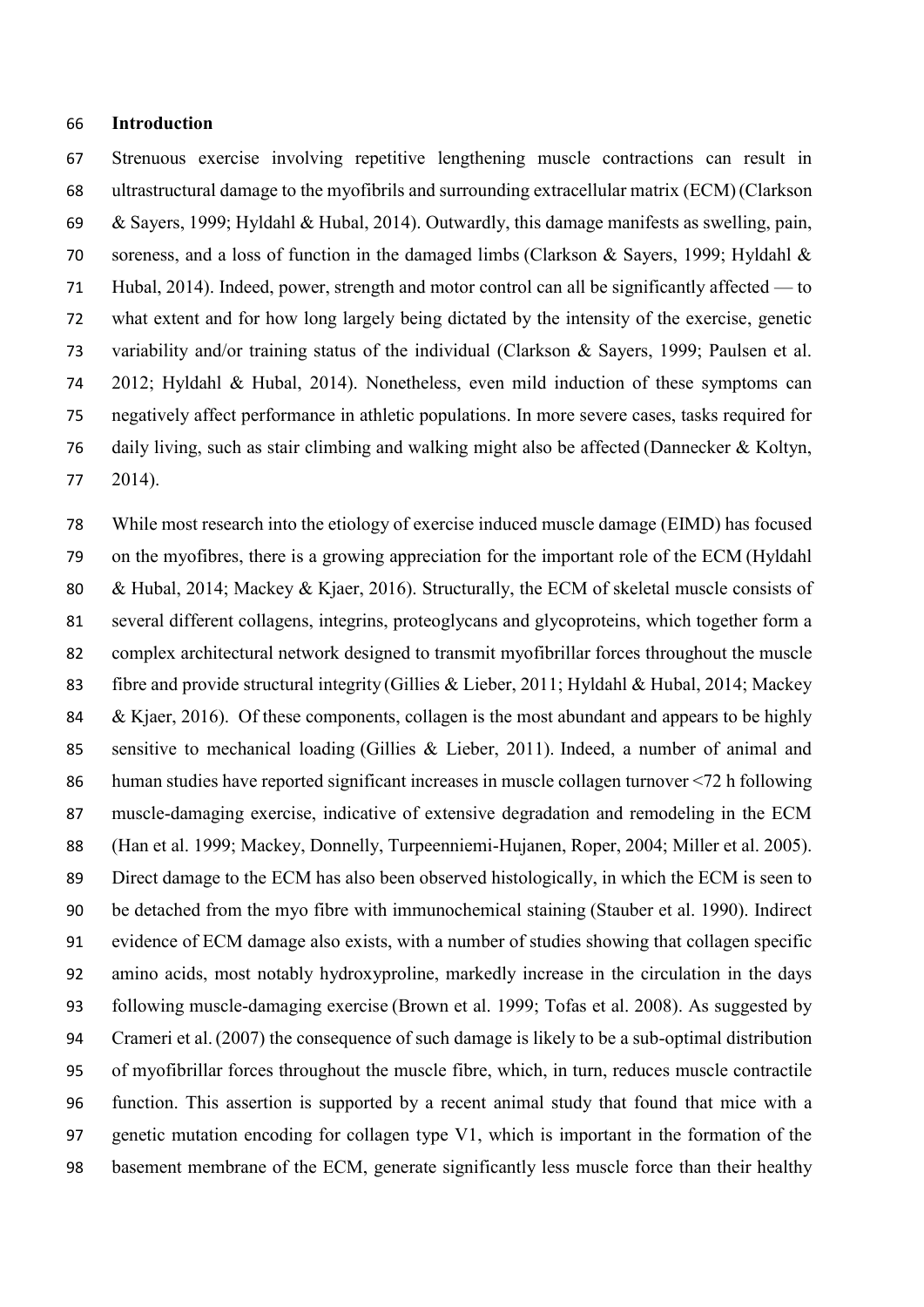### **Introduction**

 Strenuous exercise involving repetitive lengthening muscle contractions can result in ultrastructural damage to the myofibrils and surrounding extracellular matrix (ECM)(Clarkson & Sayers, 1999; Hyldahl & Hubal, 2014). Outwardly, this damage manifests as swelling, pain, soreness, and a loss of function in the damaged limbs (Clarkson & Sayers, 1999; Hyldahl & Hubal, 2014). Indeed, power, strength and motor control can all be significantly affected — to what extent and for how long largely being dictated by the intensity of the exercise, genetic variability and/or training status of the individual (Clarkson & Sayers, 1999; Paulsen et al. 2012; Hyldahl & Hubal, 2014). Nonetheless, even mild induction of these symptoms can negatively affect performance in athletic populations. In more severe cases, tasks required for daily living, such as stair climbing and walking might also be affected (Dannecker & Koltyn, 2014).

 While most research into the etiology of exercise induced muscle damage (EIMD) has focused on the myofibres, there is a growing appreciation for the important role of the ECM (Hyldahl & Hubal, 2014; Mackey & Kjaer, 2016). Structurally, the ECM of skeletal muscle consists of several different collagens, integrins, proteoglycans and glycoproteins, which together form a complex architectural network designed to transmit myofibrillar forces throughout the muscle fibre and provide structural integrity (Gillies & Lieber, 2011; Hyldahl & Hubal, 2014; Mackey 84 & Kjaer, 2016). Of these components, collagen is the most abundant and appears to be highly sensitive to mechanical loading (Gillies & Lieber, 2011). Indeed, a number of animal and human studies have reported significant increases in muscle collagen turnover <72 h following muscle-damaging exercise, indicative of extensive degradation and remodeling in the ECM (Han et al. 1999; Mackey, Donnelly, Turpeenniemi-Hujanen, Roper, 2004; Miller et al. 2005). Direct damage to the ECM has also been observed histologically, in which the ECM is seen to be detached from the myo fibre with immunochemical staining (Stauber et al. 1990). Indirect evidence of ECM damage also exists, with a number of studies showing that collagen specific amino acids, most notably hydroxyproline, markedly increase in the circulation in the days following muscle-damaging exercise (Brown et al. 1999; Tofas et al. 2008). As suggested by Crameri et al.(2007) the consequence of such damage is likely to be a sub-optimal distribution of myofibrillar forces throughout the muscle fibre, which, in turn, reduces muscle contractile function. This assertion is supported by a recent animal study that found that mice with a genetic mutation encoding for collagen type V1, which is important in the formation of the basement membrane of the ECM, generate significantly less muscle force than their healthy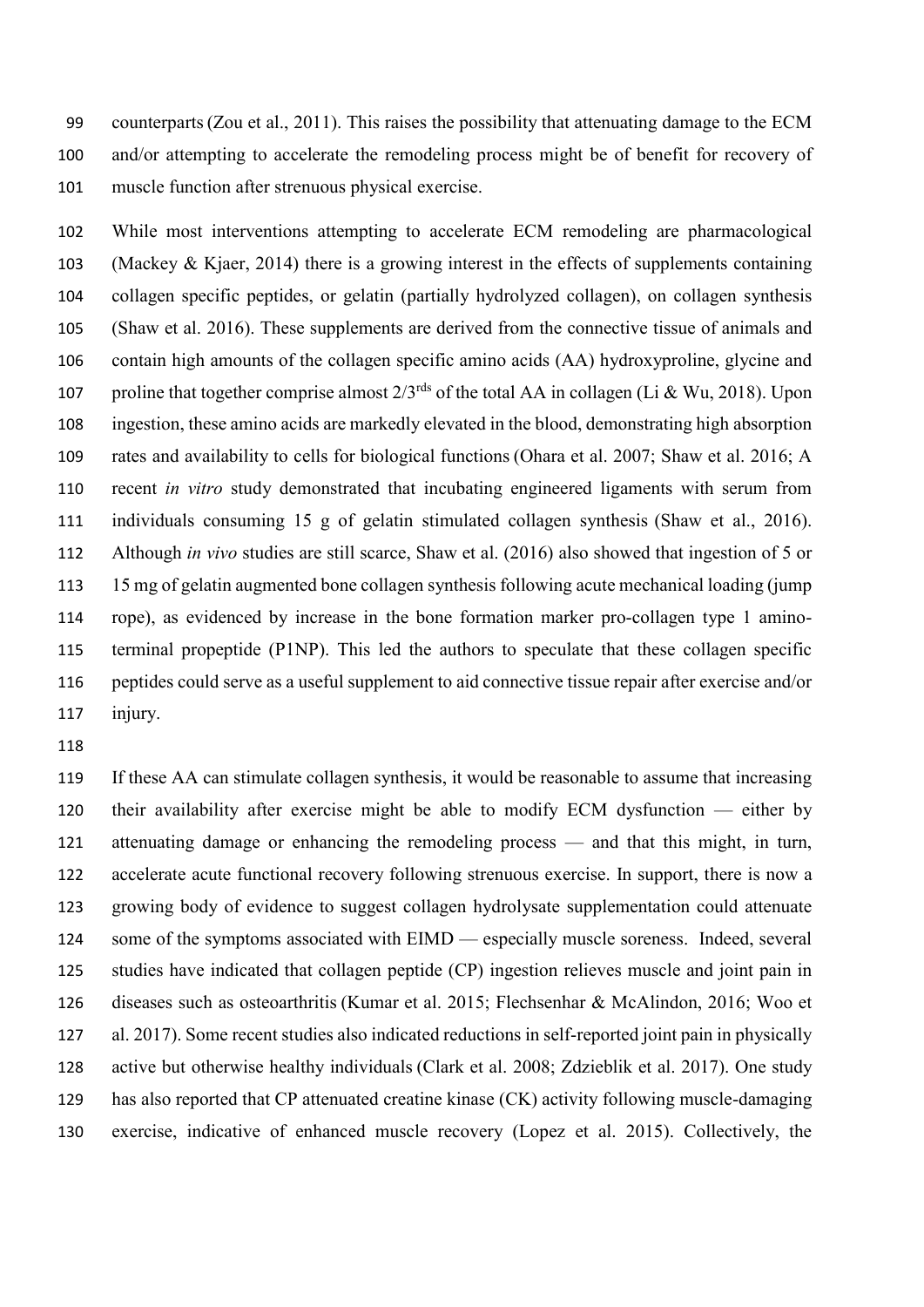counterparts(Zou et al., 2011). This raises the possibility that attenuating damage to the ECM and/or attempting to accelerate the remodeling process might be of benefit for recovery of muscle function after strenuous physical exercise.

 While most interventions attempting to accelerate ECM remodeling are pharmacological (Mackey & Kjaer, 2014) there is a growing interest in the effects of supplements containing collagen specific peptides, or gelatin (partially hydrolyzed collagen), on collagen synthesis (Shaw et al. 2016). These supplements are derived from the connective tissue of animals and contain high amounts of the collagen specific amino acids (AA) hydroxyproline, glycine and 107 proline that together comprise almost  $2/3^{rds}$  of the total AA in collagen (Li & Wu, 2018). Upon ingestion, these amino acids are markedly elevated in the blood, demonstrating high absorption rates and availability to cells for biological functions (Ohara et al. 2007; Shaw et al. 2016; A recent *in vitro* study demonstrated that incubating engineered ligaments with serum from individuals consuming 15 g of gelatin stimulated collagen synthesis (Shaw et al., 2016). Although *in vivo* studies are still scarce, Shaw et al. (2016) also showed that ingestion of 5 or 15 mg of gelatin augmented bone collagen synthesis following acute mechanical loading (jump rope), as evidenced by increase in the bone formation marker pro-collagen type 1 amino- terminal propeptide (P1NP). This led the authors to speculate that these collagen specific peptides could serve as a useful supplement to aid connective tissue repair after exercise and/or injury.

 If these AA can stimulate collagen synthesis, it would be reasonable to assume that increasing their availability after exercise might be able to modify ECM dysfunction — either by attenuating damage or enhancing the remodeling process — and that this might, in turn, accelerate acute functional recovery following strenuous exercise. In support, there is now a growing body of evidence to suggest collagen hydrolysate supplementation could attenuate 124 some of the symptoms associated with EIMD — especially muscle soreness. Indeed, several studies have indicated that collagen peptide (CP) ingestion relieves muscle and joint pain in diseases such as osteoarthritis (Kumar et al. 2015; Flechsenhar & McAlindon, 2016; Woo et al. 2017). Some recent studies also indicated reductions in self-reported joint pain in physically active but otherwise healthy individuals (Clark et al. 2008; Zdzieblik et al. 2017). One study has also reported that CP attenuated creatine kinase (CK) activity following muscle-damaging exercise, indicative of enhanced muscle recovery (Lopez et al. 2015). Collectively, the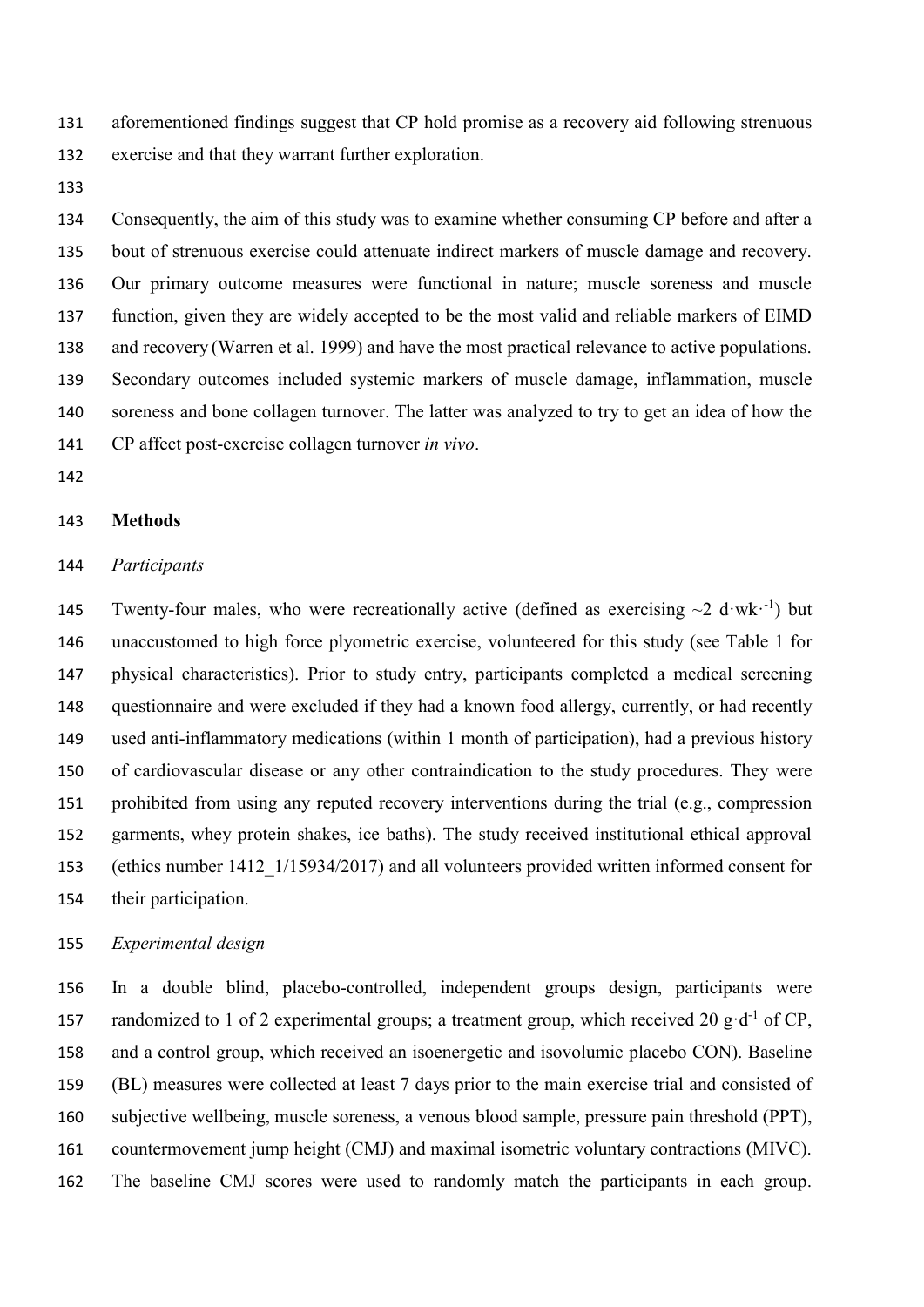aforementioned findings suggest that CP hold promise as a recovery aid following strenuous exercise and that they warrant further exploration.

 Consequently, the aim of this study was to examine whether consuming CP before and after a bout of strenuous exercise could attenuate indirect markers of muscle damage and recovery. Our primary outcome measures were functional in nature; muscle soreness and muscle function, given they are widely accepted to be the most valid and reliable markers of EIMD and recovery (Warren et al. 1999) and have the most practical relevance to active populations. Secondary outcomes included systemic markers of muscle damage, inflammation, muscle soreness and bone collagen turnover. The latter was analyzed to try to get an idea of how the CP affect post-exercise collagen turnover *in vivo*.

#### **Methods**

#### *Participants*

145 Twenty-four males, who were recreationally active (defined as exercising  $\sim$ 2 d·wk·<sup>-1</sup>) but unaccustomed to high force plyometric exercise, volunteered for this study (see Table 1 for physical characteristics). Prior to study entry, participants completed a medical screening questionnaire and were excluded if they had a known food allergy, currently, or had recently used anti-inflammatory medications (within 1 month of participation), had a previous history of cardiovascular disease or any other contraindication to the study procedures. They were prohibited from using any reputed recovery interventions during the trial (e.g., compression garments, whey protein shakes, ice baths). The study received institutional ethical approval (ethics number 1412\_1/15934/2017) and all volunteers provided written informed consent for their participation.

## *Experimental design*

 In a double blind, placebo-controlled, independent groups design, participants were 157 randomized to 1 of 2 experimental groups; a treatment group, which received 20  $g \cdot d^{-1}$  of CP, and a control group, which received an isoenergetic and isovolumic placebo CON). Baseline (BL) measures were collected at least 7 days prior to the main exercise trial and consisted of subjective wellbeing, muscle soreness, a venous blood sample, pressure pain threshold (PPT), countermovement jump height (CMJ) and maximal isometric voluntary contractions (MIVC). The baseline CMJ scores were used to randomly match the participants in each group.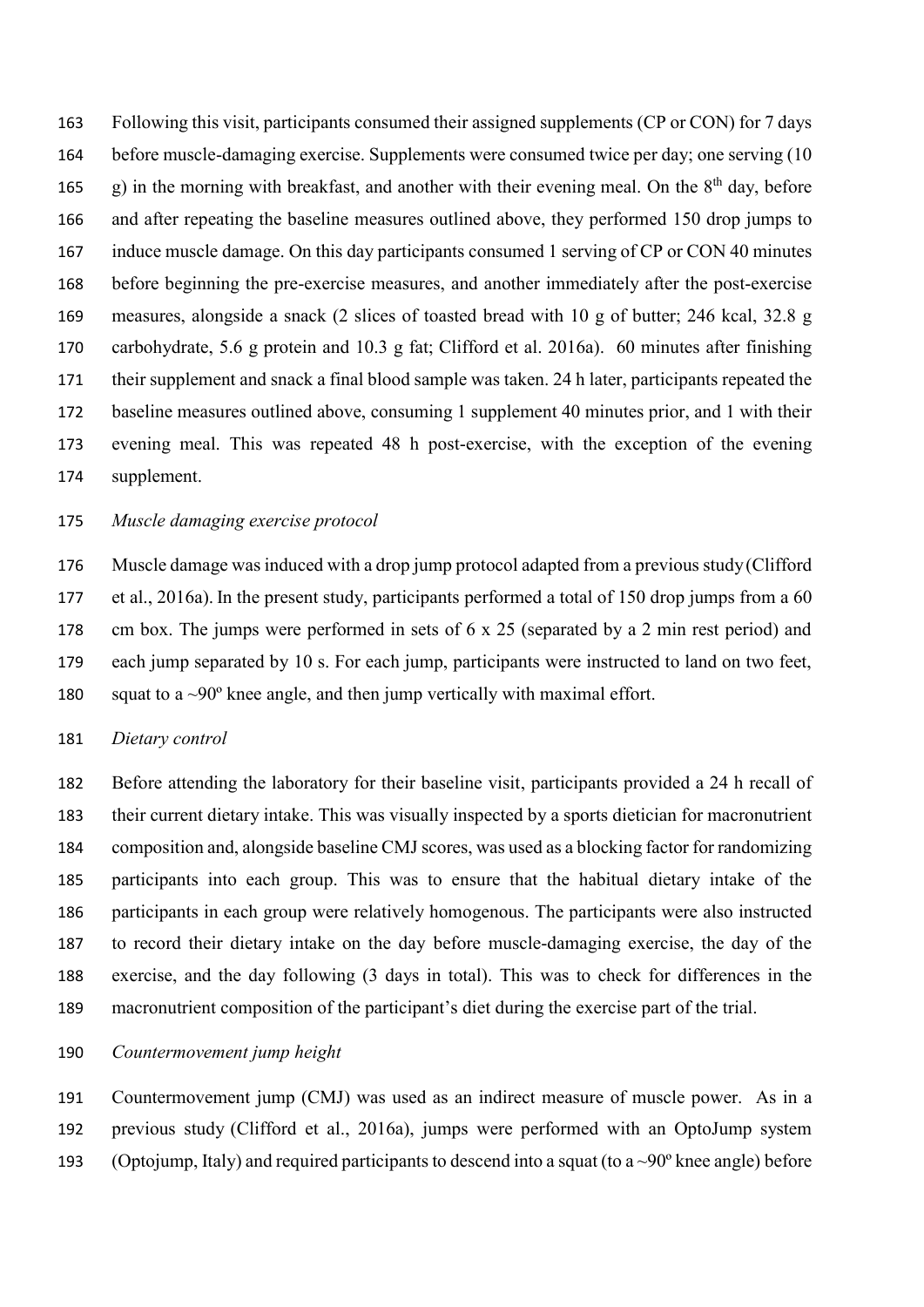Following this visit, participants consumed their assigned supplements (CP or CON) for 7 days before muscle-damaging exercise. Supplements were consumed twice per day; one serving (10 165 g) in the morning with breakfast, and another with their evening meal. On the  $8<sup>th</sup>$  day, before and after repeating the baseline measures outlined above, they performed 150 drop jumps to 167 induce muscle damage. On this day participants consumed 1 serving of CP or CON 40 minutes before beginning the pre-exercise measures, and another immediately after the post-exercise measures, alongside a snack (2 slices of toasted bread with 10 g of butter; 246 kcal, 32.8 g carbohydrate, 5.6 g protein and 10.3 g fat; Clifford et al. 2016a). 60 minutes after finishing their supplement and snack a final blood sample was taken. 24 h later, participants repeated the baseline measures outlined above, consuming 1 supplement 40 minutes prior, and 1 with their evening meal. This was repeated 48 h post-exercise, with the exception of the evening supplement.

## *Muscle damaging exercise protocol*

 Muscle damage was induced with a drop jump protocol adapted from a previous study(Clifford et al., 2016a). In the present study, participants performed a total of 150 drop jumps from a 60 cm box. The jumps were performed in sets of 6 x 25 (separated by a 2 min rest period) and each jump separated by 10 s. For each jump, participants were instructed to land on two feet, 180 squat to a  $\sim 90^\circ$  knee angle, and then jump vertically with maximal effort.

## *Dietary control*

 Before attending the laboratory for their baseline visit, participants provided a 24 h recall of their current dietary intake. This was visually inspected by a sports dietician for macronutrient composition and, alongside baseline CMJ scores, was used as a blocking factor for randomizing participants into each group. This was to ensure that the habitual dietary intake of the participants in each group were relatively homogenous. The participants were also instructed to record their dietary intake on the day before muscle-damaging exercise, the day of the exercise, and the day following (3 days in total). This was to check for differences in the macronutrient composition of the participant's diet during the exercise part of the trial.

### *Countermovement jump height*

 Countermovement jump (CMJ) was used as an indirect measure of muscle power. As in a previous study (Clifford et al., 2016a), jumps were performed with an OptoJump system 193 (Optojump, Italy) and required participants to descend into a squat (to a  $\sim 90^\circ$  knee angle) before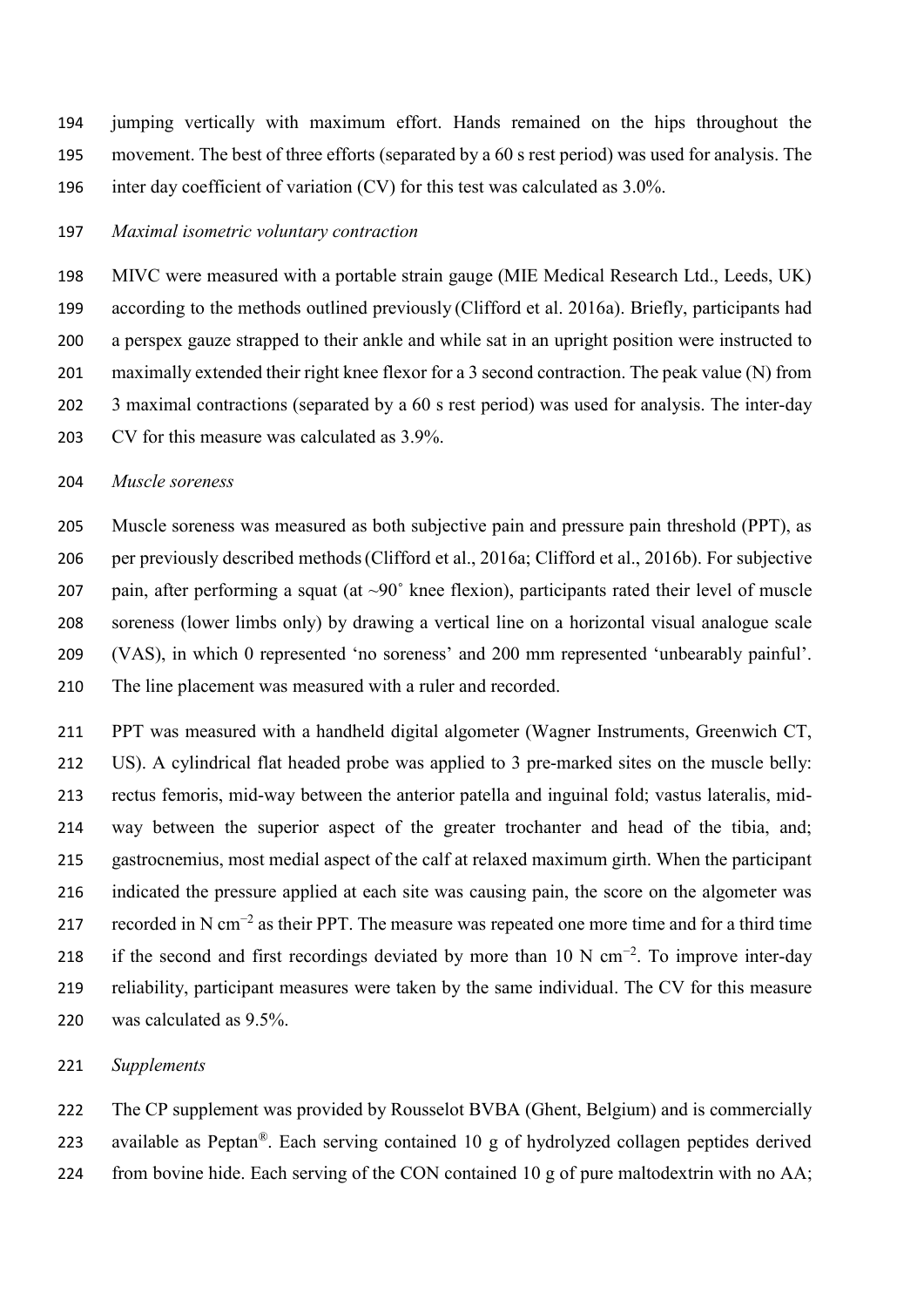jumping vertically with maximum effort. Hands remained on the hips throughout the movement. The best of three efforts (separated by a 60 s rest period) was used for analysis. The inter day coefficient of variation (CV) for this test was calculated as 3.0%.

### *Maximal isometric voluntary contraction*

 MIVC were measured with a portable strain gauge (MIE Medical Research Ltd., Leeds, UK) according to the methods outlined previously (Clifford et al. 2016a). Briefly, participants had a perspex gauze strapped to their ankle and while sat in an upright position were instructed to maximally extended their right knee flexor for a 3 second contraction. The peak value (N) from 3 maximal contractions (separated by a 60 s rest period) was used for analysis. The inter-day CV for this measure was calculated as 3.9%.

#### *Muscle soreness*

 Muscle soreness was measured as both subjective pain and pressure pain threshold (PPT), as per previously described methods(Clifford et al., 2016a; Clifford et al., 2016b). For subjective 207 pain, after performing a squat (at  $\sim 90^\circ$  knee flexion), participants rated their level of muscle soreness (lower limbs only) by drawing a vertical line on a horizontal visual analogue scale (VAS), in which 0 represented 'no soreness' and 200 mm represented 'unbearably painful'. The line placement was measured with a ruler and recorded.

 PPT was measured with a handheld digital algometer (Wagner Instruments, Greenwich CT, US). A cylindrical flat headed probe was applied to 3 pre-marked sites on the muscle belly: rectus femoris, mid-way between the anterior patella and inguinal fold; vastus lateralis, mid- way between the superior aspect of the greater trochanter and head of the tibia, and; gastrocnemius, most medial aspect of the calf at relaxed maximum girth. When the participant indicated the pressure applied at each site was causing pain, the score on the algometer was 217 recorded in N cm<sup>-2</sup> as their PPT. The measure was repeated one more time and for a third time 218 if the second and first recordings deviated by more than 10 N cm<sup>-2</sup>. To improve inter-day reliability, participant measures were taken by the same individual. The CV for this measure was calculated as 9.5%.

## *Supplements*

 The CP supplement was provided by Rousselot BVBA (Ghent, Belgium) and is commercially 223 available as Peptan<sup>®</sup>. Each serving contained 10 g of hydrolyzed collagen peptides derived 224 from bovine hide. Each serving of the CON contained 10 g of pure maltodextrin with no AA;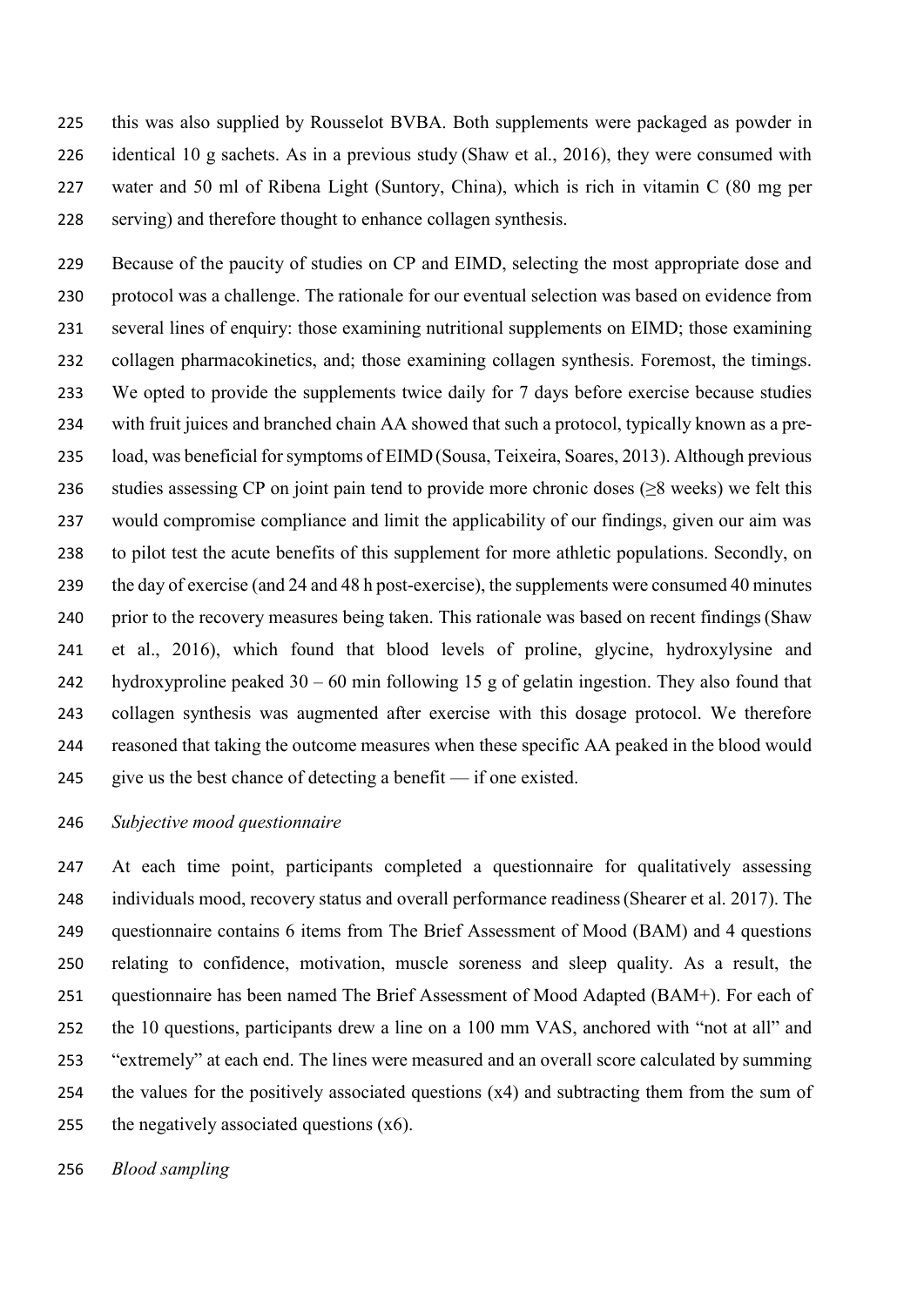this was also supplied by Rousselot BVBA. Both supplements were packaged as powder in identical 10 g sachets. As in a previous study (Shaw et al., 2016), they were consumed with water and 50 ml of Ribena Light (Suntory, China), which is rich in vitamin C (80 mg per serving) and therefore thought to enhance collagen synthesis.

 Because of the paucity of studies on CP and EIMD, selecting the most appropriate dose and protocol was a challenge. The rationale for our eventual selection was based on evidence from several lines of enquiry: those examining nutritional supplements on EIMD; those examining collagen pharmacokinetics, and; those examining collagen synthesis. Foremost, the timings. We opted to provide the supplements twice daily for 7 days before exercise because studies with fruit juices and branched chain AA showed that such a protocol, typically known as a pre- load, was beneficial for symptoms of EIMD(Sousa, Teixeira, Soares, 2013). Although previous 236 studies assessing CP on joint pain tend to provide more chronic doses  $(≥8$  weeks) we felt this would compromise compliance and limit the applicability of our findings, given our aim was to pilot test the acute benefits of this supplement for more athletic populations. Secondly, on 239 the day of exercise (and 24 and 48 h post-exercise), the supplements were consumed 40 minutes prior to the recovery measures being taken. This rationale was based on recent findings(Shaw et al., 2016), which found that blood levels of proline, glycine, hydroxylysine and hydroxyproline peaked 30 – 60 min following 15 g of gelatin ingestion. They also found that collagen synthesis was augmented after exercise with this dosage protocol. We therefore reasoned that taking the outcome measures when these specific AA peaked in the blood would give us the best chance of detecting a benefit — if one existed.

## *Subjective mood questionnaire*

 At each time point, participants completed a questionnaire for qualitatively assessing individuals mood, recovery status and overall performance readiness(Shearer et al. 2017). The questionnaire contains 6 items from The Brief Assessment of Mood (BAM) and 4 questions relating to confidence, motivation, muscle soreness and sleep quality. As a result, the questionnaire has been named The Brief Assessment of Mood Adapted (BAM+). For each of the 10 questions, participants drew a line on a 100 mm VAS, anchored with "not at all" and "extremely" at each end. The lines were measured and an overall score calculated by summing the values for the positively associated questions (x4) and subtracting them from the sum of 255 the negatively associated questions  $(x6)$ .

*Blood sampling*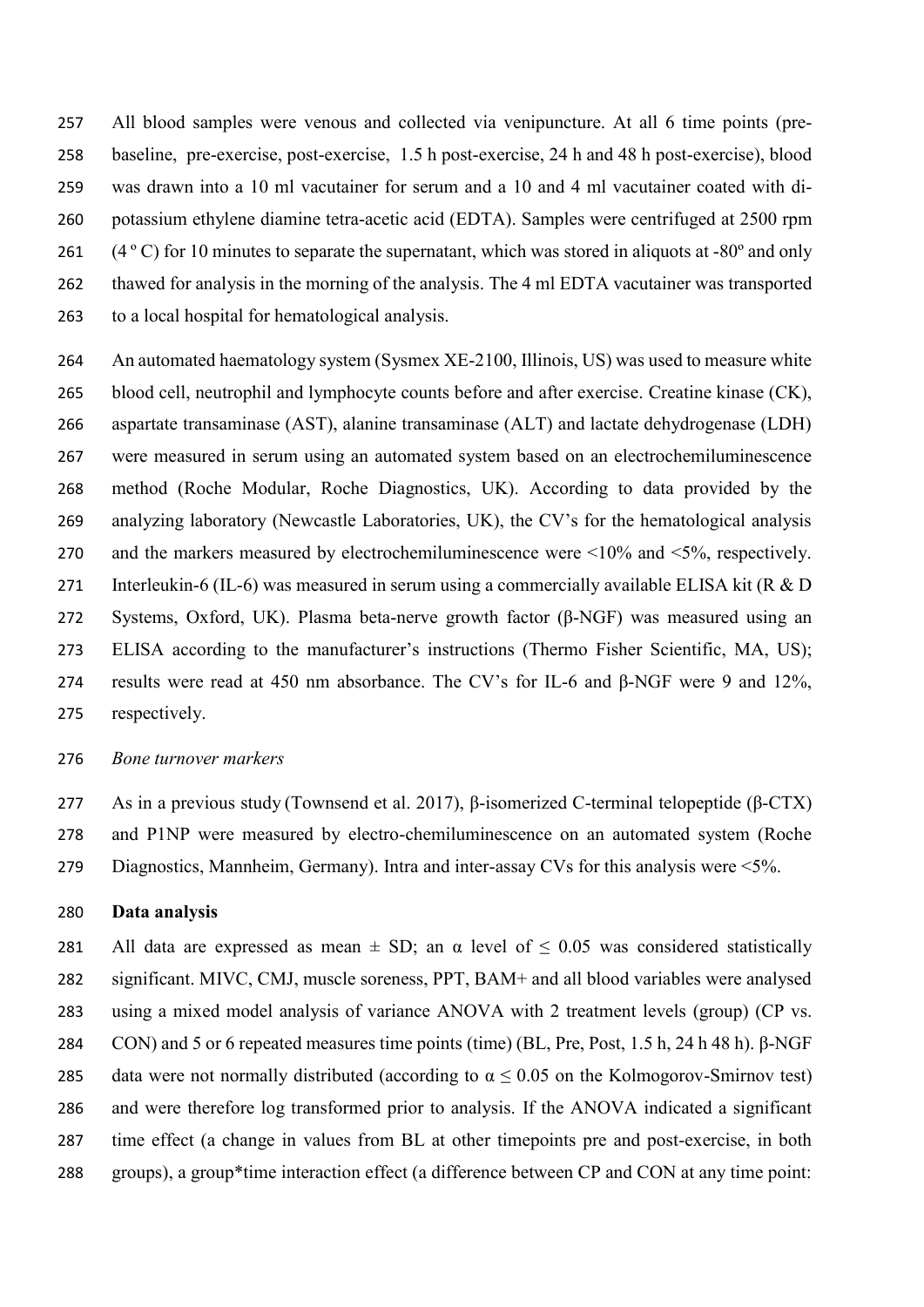All blood samples were venous and collected via venipuncture. At all 6 time points (pre- baseline, pre-exercise, post-exercise, 1.5 h post-exercise, 24 h and 48 h post-exercise), blood was drawn into a 10 ml vacutainer for serum and a 10 and 4 ml vacutainer coated with di- potassium ethylene diamine tetra-acetic acid (EDTA). Samples were centrifuged at 2500 rpm 261 (4 ° C) for 10 minutes to separate the supernatant, which was stored in aliquots at -80° and only thawed for analysis in the morning of the analysis. The 4 ml EDTA vacutainer was transported to a local hospital for hematological analysis.

 An automated haematology system (Sysmex XE-2100, Illinois, US) was used to measure white blood cell, neutrophil and lymphocyte counts before and after exercise. Creatine kinase (CK), aspartate transaminase (AST), alanine transaminase (ALT) and lactate dehydrogenase (LDH) were measured in serum using an automated system based on an electrochemiluminescence method (Roche Modular, Roche Diagnostics, UK). According to data provided by the analyzing laboratory (Newcastle Laboratories, UK), the CV's for the hematological analysis and the markers measured by electrochemiluminescence were <10% and <5%, respectively. 271 Interleukin-6 (IL-6) was measured in serum using a commercially available ELISA kit (R & D Systems, Oxford, UK). Plasma beta-nerve growth factor (β-NGF) was measured using an ELISA according to the manufacturer's instructions (Thermo Fisher Scientific, MA, US); results were read at 450 nm absorbance. The CV's for IL-6 and β-NGF were 9 and 12%, respectively.

### *Bone turnover markers*

 As in a previous study (Townsend et al. 2017), β-isomerized C-terminal telopeptide (β-CTX) and P1NP were measured by electro-chemiluminescence on an automated system (Roche Diagnostics, Mannheim, Germany). Intra and inter-assay CVs for this analysis were <5%.

#### **Data analysis**

281 All data are expressed as mean  $\pm$  SD; an  $\alpha$  level of  $\leq$  0.05 was considered statistically significant. MIVC, CMJ, muscle soreness, PPT, BAM+ and all blood variables were analysed using a mixed model analysis of variance ANOVA with 2 treatment levels (group) (CP vs. CON) and 5 or 6 repeated measures time points (time) (BL, Pre, Post, 1.5 h, 24 h 48 h). β-NGF 285 data were not normally distributed (according to  $\alpha \le 0.05$  on the Kolmogorov-Smirnov test) and were therefore log transformed prior to analysis. If the ANOVA indicated a significant time effect (a change in values from BL at other timepoints pre and post-exercise, in both groups), a group\*time interaction effect (a difference between CP and CON at any time point: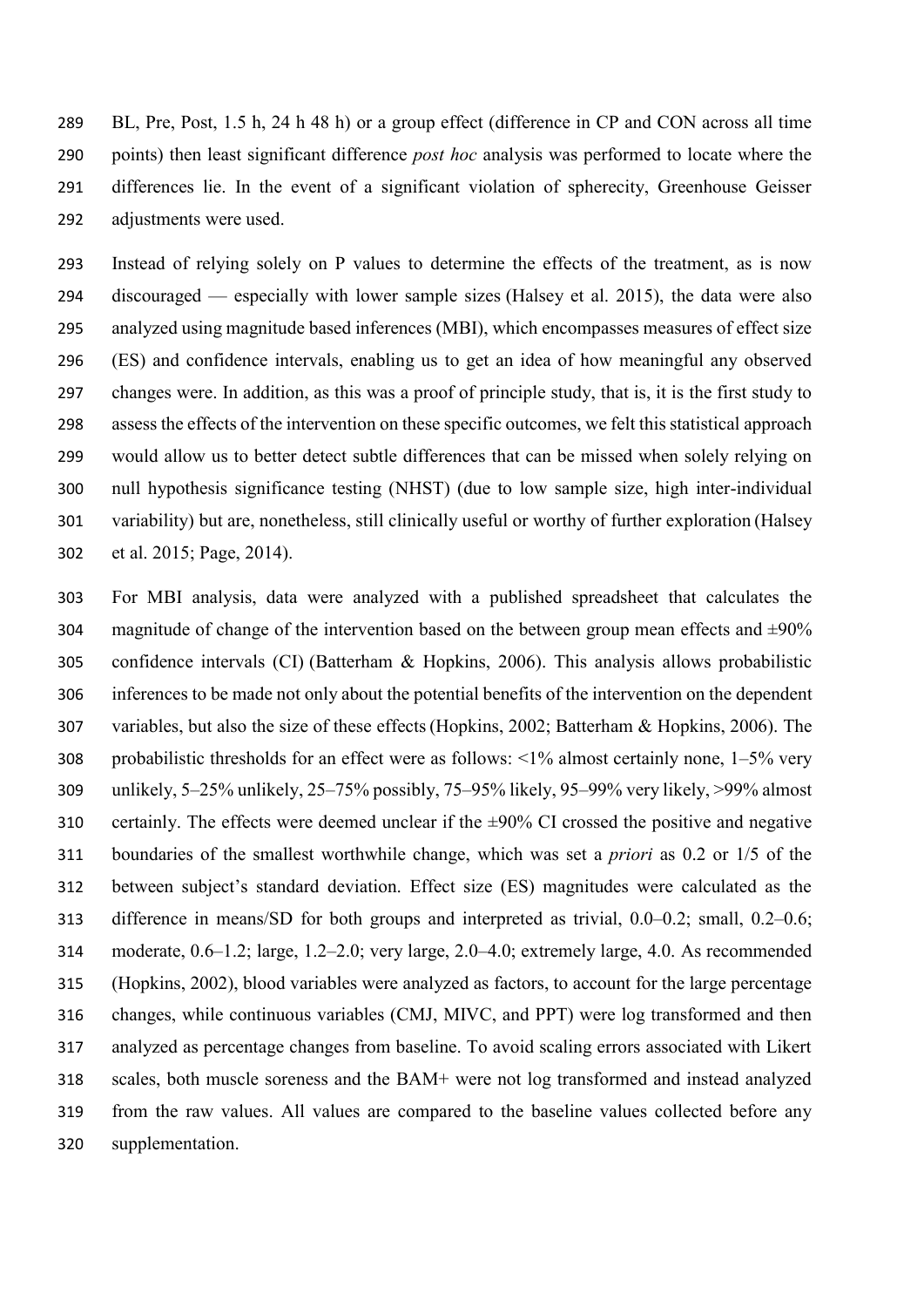BL, Pre, Post, 1.5 h, 24 h 48 h) or a group effect (difference in CP and CON across all time points) then least significant difference *post hoc* analysis was performed to locate where the differences lie. In the event of a significant violation of spherecity, Greenhouse Geisser adjustments were used.

 Instead of relying solely on P values to determine the effects of the treatment, as is now discouraged — especially with lower sample sizes (Halsey et al. 2015), the data were also analyzed using magnitude based inferences (MBI), which encompasses measures of effect size (ES) and confidence intervals, enabling us to get an idea of how meaningful any observed changes were. In addition, as this was a proof of principle study, that is, it is the first study to assess the effects of the intervention on these specific outcomes, we felt this statistical approach would allow us to better detect subtle differences that can be missed when solely relying on null hypothesis significance testing (NHST) (due to low sample size, high inter-individual variability) but are, nonetheless, still clinically useful or worthy of further exploration (Halsey et al. 2015; Page, 2014).

 For MBI analysis, data were analyzed with a published spreadsheet that calculates the 304 magnitude of change of the intervention based on the between group mean effects and  $\pm 90\%$  confidence intervals (CI) (Batterham & Hopkins, 2006). This analysis allows probabilistic inferences to be made not only about the potential benefits of the intervention on the dependent variables, but also the size of these effects(Hopkins, 2002; Batterham & Hopkins, 2006). The 308 probabilistic thresholds for an effect were as follows:  $\langle 1\%$  almost certainly none,  $1-5\%$  very unlikely, 5–25% unlikely, 25–75% possibly, 75–95% likely, 95–99% very likely, >99% almost 310 certainly. The effects were deemed unclear if the  $\pm$ 90% CI crossed the positive and negative boundaries of the smallest worthwhile change, which was set a *priori* as 0.2 or 1/5 of the between subject's standard deviation. Effect size (ES) magnitudes were calculated as the difference in means/SD for both groups and interpreted as trivial, 0.0–0.2; small, 0.2–0.6; moderate, 0.6–1.2; large, 1.2–2.0; very large, 2.0–4.0; extremely large, 4.0. As recommended (Hopkins, 2002), blood variables were analyzed as factors, to account for the large percentage changes, while continuous variables (CMJ, MIVC, and PPT) were log transformed and then analyzed as percentage changes from baseline. To avoid scaling errors associated with Likert scales, both muscle soreness and the BAM+ were not log transformed and instead analyzed from the raw values. All values are compared to the baseline values collected before any supplementation.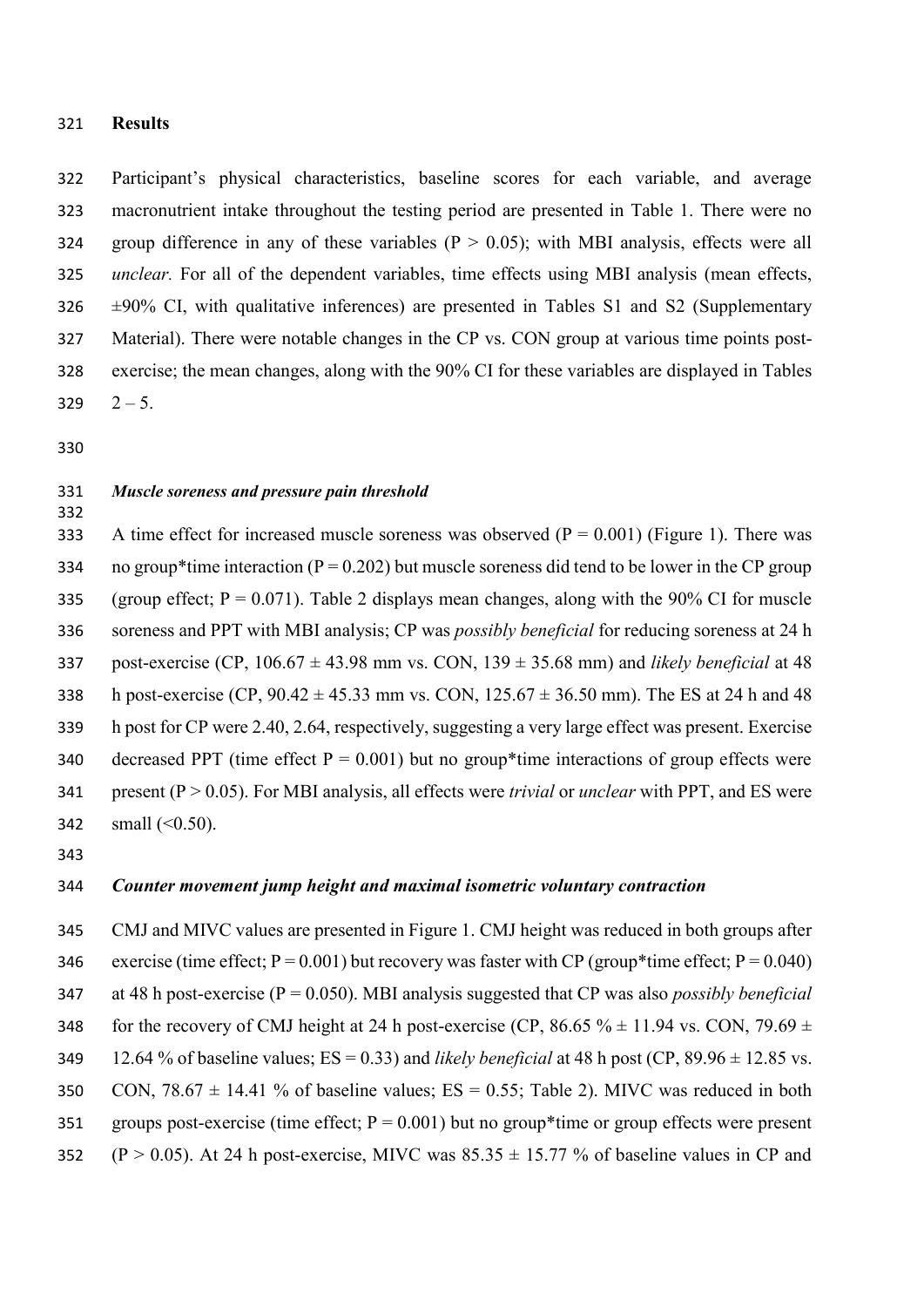### 321 **Results**

 Participant's physical characteristics, baseline scores for each variable, and average macronutrient intake throughout the testing period are presented in Table 1. There were no 324 group difference in any of these variables  $(P > 0.05)$ ; with MBI analysis, effects were all *unclear.* For all of the dependent variables, time effects using MBI analysis (mean effects,  $326 \pm 90\%$  CI, with qualitative inferences) are presented in Tables S1 and S2 (Supplementary Material). There were notable changes in the CP vs. CON group at various time points post- exercise; the mean changes, along with the 90% CI for these variables are displayed in Tables  $329 \t2 - 5.$ 

330

332

## 331 *Muscle soreness and pressure pain threshold*

333 A time effect for increased muscle soreness was observed  $(P = 0.001)$  (Figure 1). There was 334 no group\*time interaction ( $P = 0.202$ ) but muscle soreness did tend to be lower in the CP group 335 (group effect;  $P = 0.071$ ). Table 2 displays mean changes, along with the 90% CI for muscle 336 soreness and PPT with MBI analysis; CP was *possibly beneficial* for reducing soreness at 24 h 337 post-exercise (CP,  $106.67 \pm 43.98$  mm vs. CON,  $139 \pm 35.68$  mm) and *likely beneficial* at 48 338 h post-exercise (CP,  $90.42 \pm 45.33$  mm vs. CON,  $125.67 \pm 36.50$  mm). The ES at 24 h and 48 339 h post for CP were 2.40, 2.64, respectively, suggesting a very large effect was present. Exercise 340 decreased PPT (time effect  $P = 0.001$ ) but no group\*time interactions of group effects were 341 present (P > 0.05). For MBI analysis, all effects were *trivial* or *unclear* with PPT, and ES were 342 small  $( $0.50$ ).$ 

343

## 344 *Counter movement jump height and maximal isometric voluntary contraction*

345 CMJ and MIVC values are presented in Figure 1. CMJ height was reduced in both groups after 346 exercise (time effect;  $P = 0.001$ ) but recovery was faster with CP (group\*time effect;  $P = 0.040$ ) 347 at 48 h post-exercise (P = 0.050). MBI analysis suggested that CP was also *possibly beneficial* 348 for the recovery of CMJ height at 24 h post-exercise (CP,  $86.65\% \pm 11.94$  vs. CON,  $79.69 \pm 10.69$ ) 349 12.64 % of baseline values;  $ES = 0.33$ ) and *likely beneficial* at 48 h post (CP,  $89.96 \pm 12.85$  vs. 350 CON,  $78.67 \pm 14.41$  % of baseline values; ES = 0.55; Table 2). MIVC was reduced in both 351 groups post-exercise (time effect;  $P = 0.001$ ) but no group\*time or group effects were present 352 (P > 0.05). At 24 h post-exercise, MIVC was  $85.35 \pm 15.77$  % of baseline values in CP and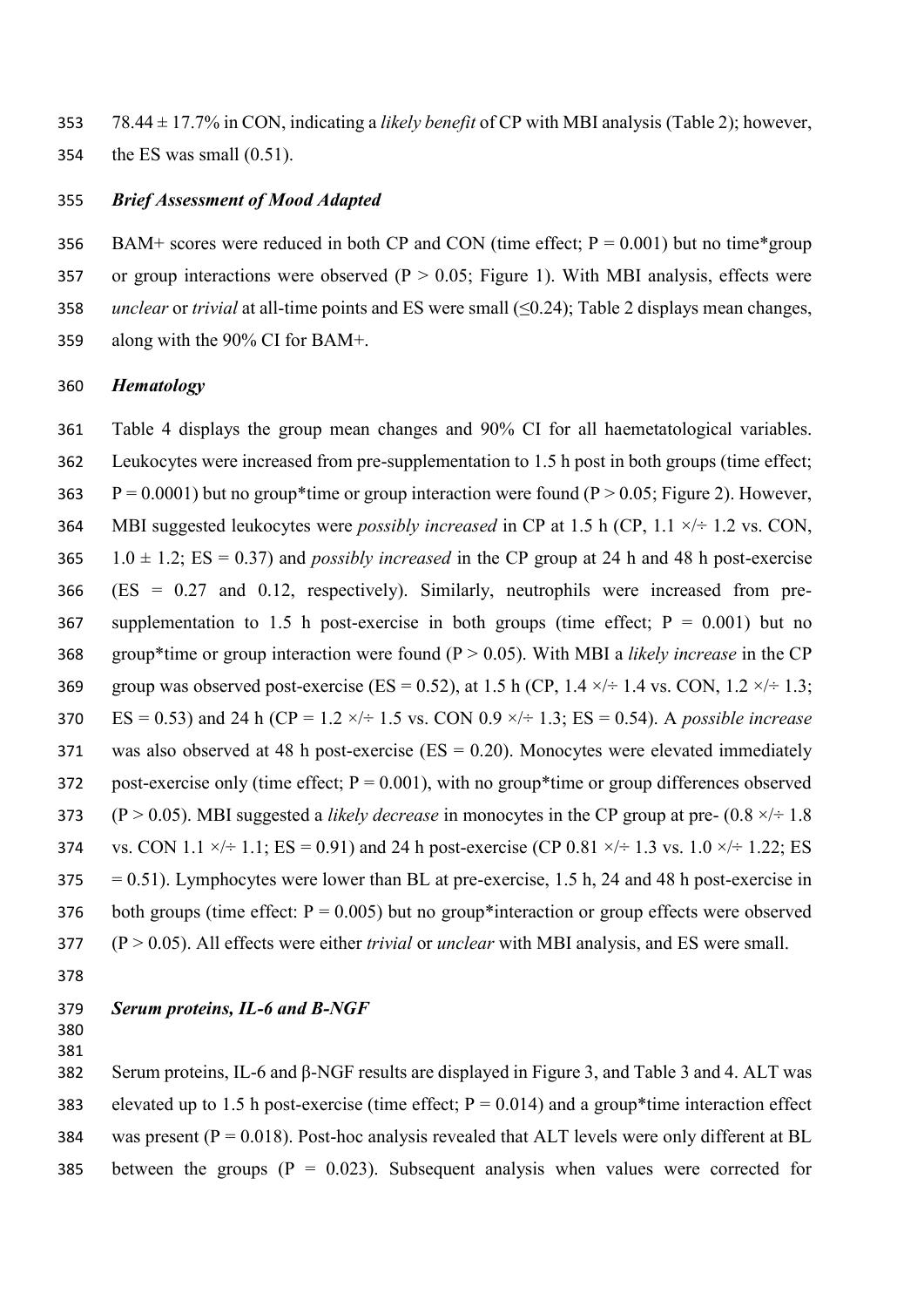353 78.44 ± 17.7% in CON, indicating a *likely benefit* of CP with MBI analysis (Table 2); however, 354 the ES was small (0.51).

## 355 *Brief Assessment of Mood Adapted*

356 BAM+ scores were reduced in both CP and CON (time effect;  $P = 0.001$ ) but no time\*group 357 or group interactions were observed ( $P > 0.05$ ; Figure 1). With MBI analysis, effects were 358 *unclear* or *trivial* at all-time points and ES were small (≤0.24); Table 2 displays mean changes, 359 along with the 90% CI for BAM+.

## 360 *Hematology*

361 Table 4 displays the group mean changes and 90% CI for all haemetatological variables. 362 Leukocytes were increased from pre-supplementation to 1.5 h post in both groups (time effect; 363  $P = 0.0001$ ) but no group\*time or group interaction were found (P > 0.05; Figure 2). However, 364 MBI suggested leukocytes were *possibly increased* in CP at 1.5 h (CP, 1.1 ×/÷ 1.2 vs. CON, 365 1.0  $\pm$  1.2; ES = 0.37) and *possibly increased* in the CP group at 24 h and 48 h post-exercise 366 (ES = 0.27 and 0.12, respectively). Similarly, neutrophils were increased from pre-367 supplementation to 1.5 h post-exercise in both groups (time effect;  $P = 0.001$ ) but no 368 group\*time or group interaction were found (P > 0.05). With MBI a *likely increase* in the CP 369 group was observed post-exercise (ES = 0.52), at 1.5 h (CP, 1.4  $\times$ / $\div$  1.4 vs. CON, 1.2  $\times$ / $\div$  1.3; 370 ES = 0.53) and 24 h (CP = 1.2 ×/÷ 1.5 vs. CON 0.9 ×/÷ 1.3; ES = 0.54). A *possible increase* 371 was also observed at 48 h post-exercise (ES = 0.20). Monocytes were elevated immediately 372 post-exercise only (time effect;  $P = 0.001$ ), with no group\*time or group differences observed 373 (P > 0.05). MBI suggested a *likely decrease* in monocytes in the CP group at pre-  $(0.8 \times 4)$  = 1.8 374 vs. CON 1.1  $\times$ / ÷ 1.1; ES = 0.91) and 24 h post-exercise (CP 0.81  $\times$ / ÷ 1.3 vs. 1.0  $\times$ / ÷ 1.22; ES  $375 = 0.51$ ). Lymphocytes were lower than BL at pre-exercise, 1.5 h, 24 and 48 h post-exercise in 376 both groups (time effect:  $P = 0.005$ ) but no group\*interaction or group effects were observed 377 (P > 0.05). All effects were either *trivial* or *unclear* with MBI analysis, and ES were small.

378

# 379 *Serum proteins, IL-6 and Β-NGF*

380 381

382 Serum proteins, IL-6 and β-NGF results are displayed in Figure 3, and Table 3 and 4. ALT was 383 elevated up to 1.5 h post-exercise (time effect;  $P = 0.014$ ) and a group\*time interaction effect 384 was present ( $P = 0.018$ ). Post-hoc analysis revealed that ALT levels were only different at BL 385 between the groups  $(P = 0.023)$ . Subsequent analysis when values were corrected for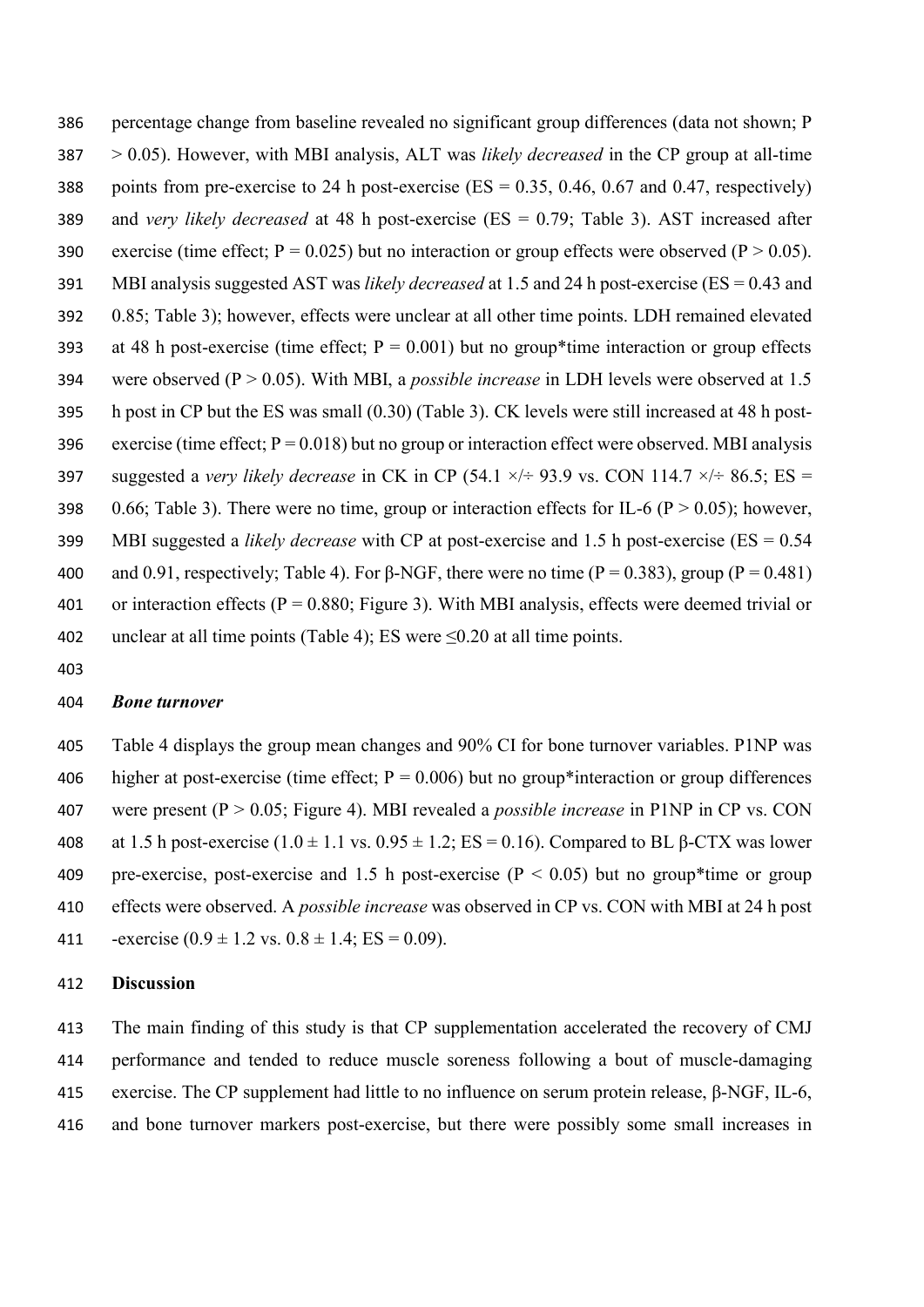386 percentage change from baseline revealed no significant group differences (data not shown; P 387 > 0.05). However, with MBI analysis, ALT was *likely decreased* in the CP group at all-time 388 points from pre-exercise to 24 h post-exercise ( $ES = 0.35$ , 0.46, 0.67 and 0.47, respectively) 389 and *very likely decreased* at 48 h post-exercise (ES = 0.79; Table 3). AST increased after 390 exercise (time effect;  $P = 0.025$ ) but no interaction or group effects were observed ( $P > 0.05$ ). 391 MBI analysis suggested AST was *likely decreased* at 1.5 and 24 h post-exercise (ES = 0.43 and 392 0.85; Table 3); however, effects were unclear at all other time points. LDH remained elevated 393 at 48 h post-exercise (time effect;  $P = 0.001$ ) but no group\*time interaction or group effects 394 were observed (P > 0.05). With MBI, a *possible increase* in LDH levels were observed at 1.5 395 h post in CP but the ES was small (0.30) (Table 3). CK levels were still increased at 48 h post-396 exercise (time effect;  $P = 0.018$ ) but no group or interaction effect were observed. MBI analysis 397 suggested a *very likely decrease* in CK in CP (54.1  $\times$ / $\div$  93.9 vs. CON 114.7  $\times$ / $\div$  86.5; ES = 398 0.66; Table 3). There were no time, group or interaction effects for IL-6 ( $P > 0.05$ ); however, 399 MBI suggested a *likely decrease* with CP at post-exercise and 1.5 h post-exercise (ES = 0.54 400 and 0.91, respectively; Table 4). For  $\beta$ -NGF, there were no time (P = 0.383), group (P = 0.481) 401 or interaction effects ( $P = 0.880$ ; Figure 3). With MBI analysis, effects were deemed trivial or 402 unclear at all time points (Table 4); ES were  $\leq 0.20$  at all time points.

403

#### 404 *Bone turnover*

405 Table 4 displays the group mean changes and 90% CI for bone turnover variables. P1NP was 406 higher at post-exercise (time effect;  $P = 0.006$ ) but no group\*interaction or group differences 407 were present (P > 0.05; Figure 4). MBI revealed a *possible increase* in P1NP in CP vs. CON 408 at 1.5 h post-exercise  $(1.0 \pm 1.1 \text{ vs. } 0.95 \pm 1.2; \text{ ES} = 0.16)$ . Compared to BL  $\beta$ -CTX was lower 409 pre-exercise, post-exercise and 1.5 h post-exercise ( $P < 0.05$ ) but no group\*time or group 410 effects were observed. A *possible increase* was observed in CP vs. CON with MBI at 24 h post 411 -exercise  $(0.9 \pm 1.2 \text{ vs. } 0.8 \pm 1.4; \text{ ES} = 0.09)$ .

## 412 **Discussion**

 The main finding of this study is that CP supplementation accelerated the recovery of CMJ performance and tended to reduce muscle soreness following a bout of muscle-damaging exercise. The CP supplement had little to no influence on serum protein release, β-NGF, IL-6, and bone turnover markers post-exercise, but there were possibly some small increases in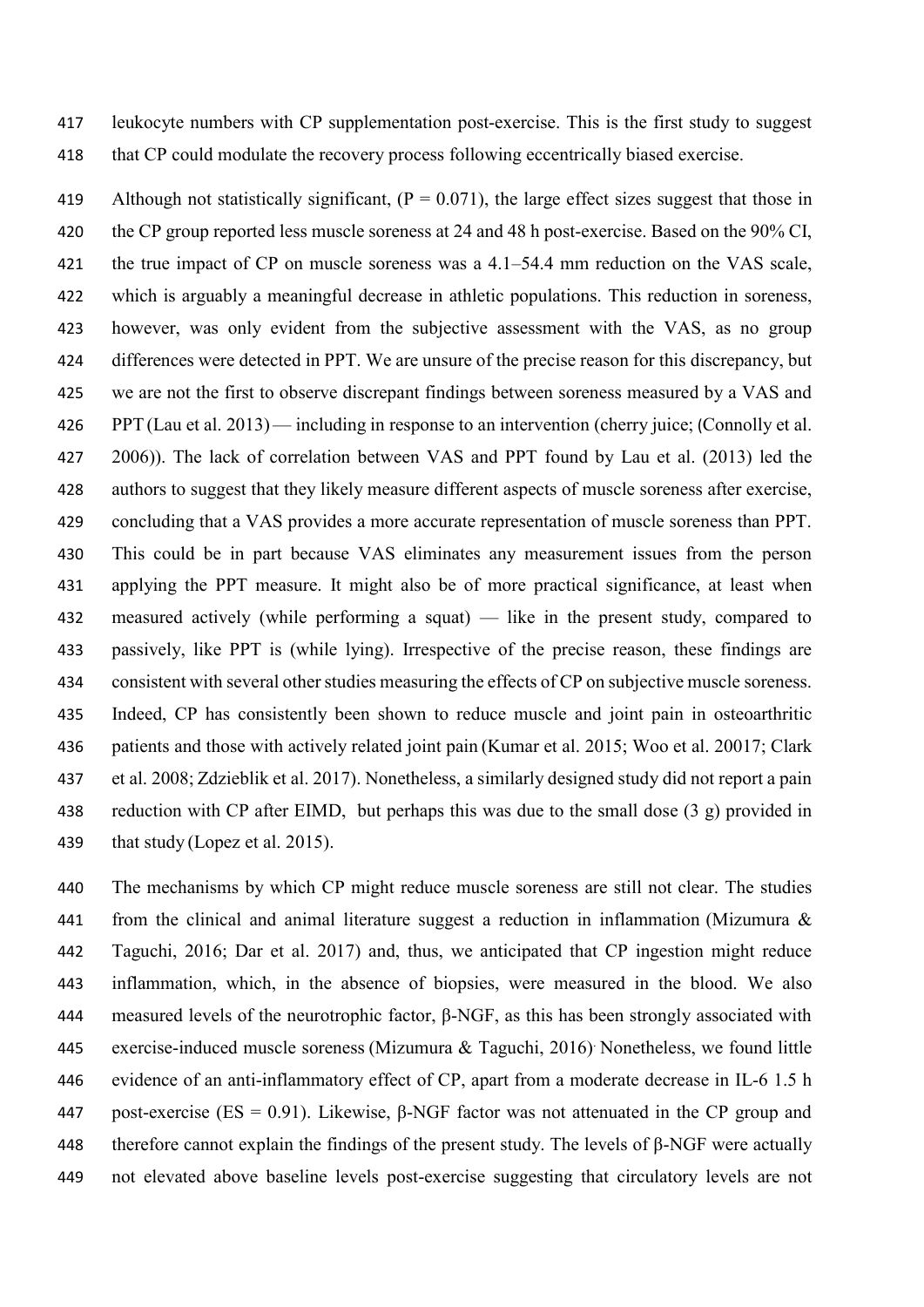leukocyte numbers with CP supplementation post-exercise. This is the first study to suggest that CP could modulate the recovery process following eccentrically biased exercise.

419 Although not statistically significant,  $(P = 0.071)$ , the large effect sizes suggest that those in the CP group reported less muscle soreness at 24 and 48 h post-exercise. Based on the 90% CI, the true impact of CP on muscle soreness was a 4.1–54.4 mm reduction on the VAS scale, which is arguably a meaningful decrease in athletic populations. This reduction in soreness, however, was only evident from the subjective assessment with the VAS, as no group differences were detected in PPT. We are unsure of the precise reason for this discrepancy, but 425 we are not the first to observe discrepant findings between soreness measured by a VAS and PPT (Lau et al. 2013)— including in response to an intervention (cherry juice; (Connolly et al. 2006)). The lack of correlation between VAS and PPT found by Lau et al. (2013) led the authors to suggest that they likely measure different aspects of muscle soreness after exercise, concluding that a VAS provides a more accurate representation of muscle soreness than PPT. This could be in part because VAS eliminates any measurement issues from the person applying the PPT measure. It might also be of more practical significance, at least when measured actively (while performing a squat) — like in the present study, compared to passively, like PPT is (while lying). Irrespective of the precise reason, these findings are consistent with several other studies measuring the effects of CP on subjective muscle soreness. Indeed, CP has consistently been shown to reduce muscle and joint pain in osteoarthritic patients and those with actively related joint pain (Kumar et al. 2015; Woo et al. 20017; Clark et al. 2008; Zdzieblik et al. 2017). Nonetheless, a similarly designed study did not report a pain reduction with CP after EIMD, but perhaps this was due to the small dose (3 g) provided in 439 that study (Lopez et al. 2015).

 The mechanisms by which CP might reduce muscle soreness are still not clear. The studies from the clinical and animal literature suggest a reduction in inflammation (Mizumura & Taguchi, 2016; Dar et al. 2017) and, thus, we anticipated that CP ingestion might reduce inflammation, which, in the absence of biopsies, were measured in the blood. We also measured levels of the neurotrophic factor, β-NGF, as this has been strongly associated with 445 exercise-induced muscle soreness (Mizumura  $\&$  Taguchi, 2016) Nonetheless, we found little evidence of an anti-inflammatory effect of CP, apart from a moderate decrease in IL-6 1.5 h 447 post-exercise (ES = 0.91). Likewise, β-NGF factor was not attenuated in the CP group and therefore cannot explain the findings of the present study. The levels of β-NGF were actually not elevated above baseline levels post-exercise suggesting that circulatory levels are not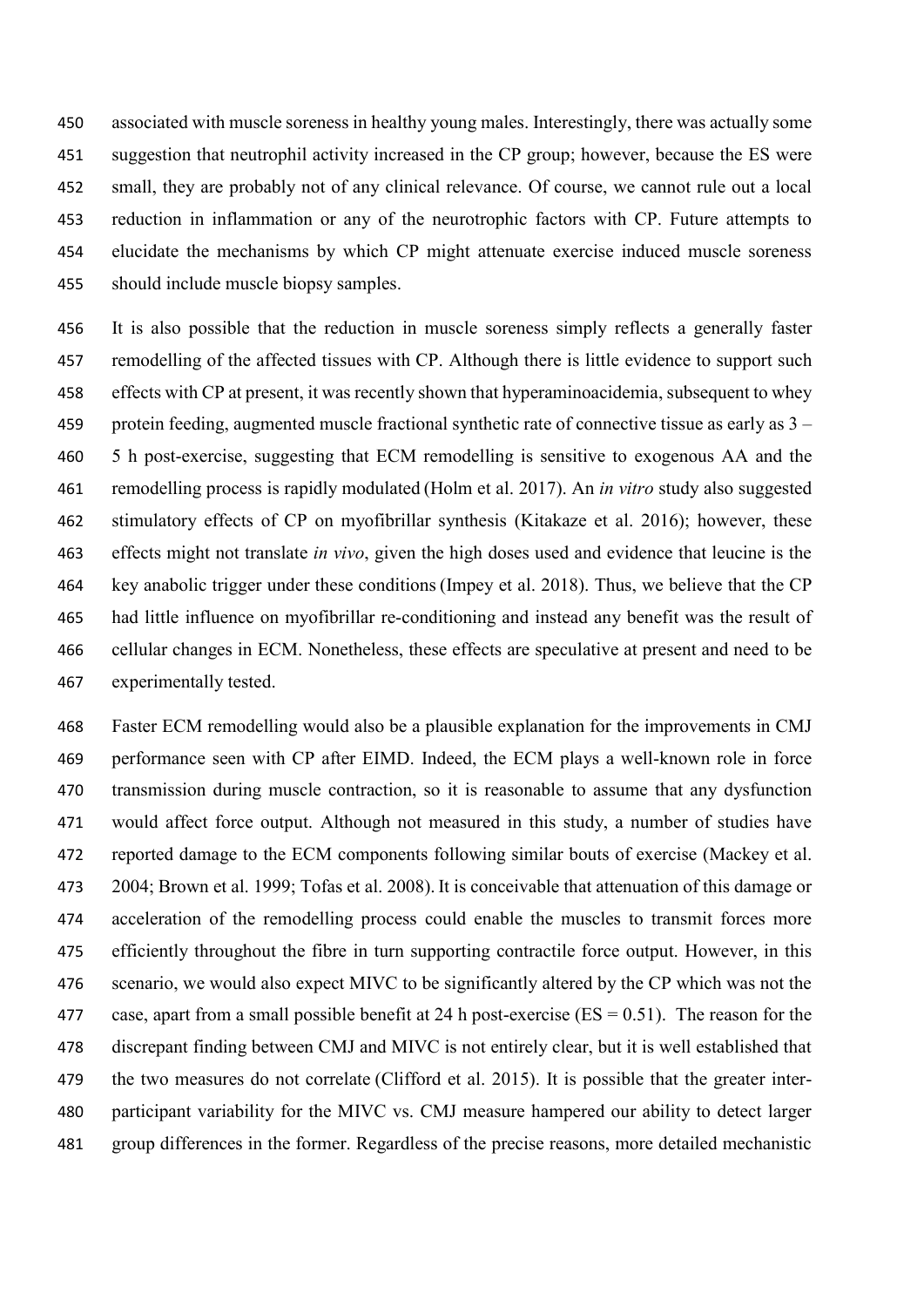associated with muscle soreness in healthy young males. Interestingly, there was actually some suggestion that neutrophil activity increased in the CP group; however, because the ES were small, they are probably not of any clinical relevance. Of course, we cannot rule out a local reduction in inflammation or any of the neurotrophic factors with CP. Future attempts to elucidate the mechanisms by which CP might attenuate exercise induced muscle soreness should include muscle biopsy samples.

 It is also possible that the reduction in muscle soreness simply reflects a generally faster 457 remodelling of the affected tissues with CP. Although there is little evidence to support such effects with CP at present, it was recently shown that hyperaminoacidemia, subsequent to whey 459 protein feeding, augmented muscle fractional synthetic rate of connective tissue as early as  $3 -$  5 h post-exercise, suggesting that ECM remodelling is sensitive to exogenous AA and the remodelling process is rapidly modulated (Holm et al. 2017). An *in vitro* study also suggested stimulatory effects of CP on myofibrillar synthesis (Kitakaze et al. 2016); however, these effects might not translate *in vivo*, given the high doses used and evidence that leucine is the key anabolic trigger under these conditions(Impey et al. 2018). Thus, we believe that the CP had little influence on myofibrillar re-conditioning and instead any benefit was the result of cellular changes in ECM. Nonetheless, these effects are speculative at present and need to be experimentally tested.

 Faster ECM remodelling would also be a plausible explanation for the improvements in CMJ performance seen with CP after EIMD. Indeed, the ECM plays a well-known role in force transmission during muscle contraction, so it is reasonable to assume that any dysfunction would affect force output. Although not measured in this study, a number of studies have reported damage to the ECM components following similar bouts of exercise (Mackey et al. 2004; Brown et al. 1999; Tofas et al. 2008). It is conceivable that attenuation of this damage or acceleration of the remodelling process could enable the muscles to transmit forces more efficiently throughout the fibre in turn supporting contractile force output. However, in this scenario, we would also expect MIVC to be significantly altered by the CP which was not the 477 case, apart from a small possible benefit at 24 h post-exercise ( $ES = 0.51$ ). The reason for the discrepant finding between CMJ and MIVC is not entirely clear, but it is well established that 479 the two measures do not correlate (Clifford et al. 2015). It is possible that the greater inter- participant variability for the MIVC vs. CMJ measure hampered our ability to detect larger group differences in the former. Regardless of the precise reasons, more detailed mechanistic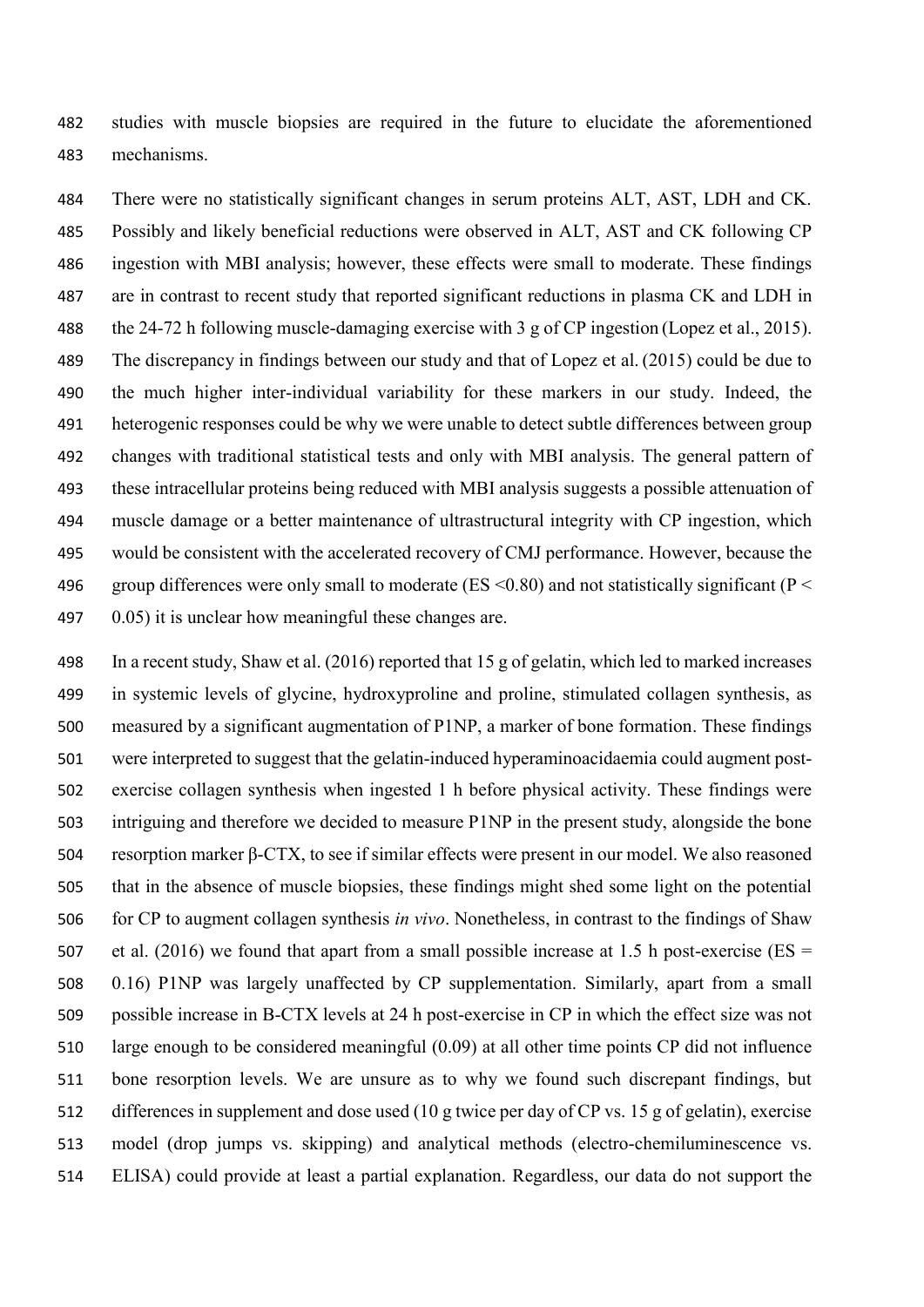studies with muscle biopsies are required in the future to elucidate the aforementioned mechanisms.

 There were no statistically significant changes in serum proteins ALT, AST, LDH and CK. Possibly and likely beneficial reductions were observed in ALT, AST and CK following CP ingestion with MBI analysis; however, these effects were small to moderate. These findings are in contrast to recent study that reported significant reductions in plasma CK and LDH in the 24-72 h following muscle-damaging exercise with 3 g of CP ingestion (Lopez et al., 2015). The discrepancy in findings between our study and that of Lopez et al. (2015) could be due to the much higher inter-individual variability for these markers in our study. Indeed, the heterogenic responses could be why we were unable to detect subtle differences between group changes with traditional statistical tests and only with MBI analysis. The general pattern of these intracellular proteins being reduced with MBI analysis suggests a possible attenuation of muscle damage or a better maintenance of ultrastructural integrity with CP ingestion, which would be consistent with the accelerated recovery of CMJ performance. However, because the 496 group differences were only small to moderate (ES  $\leq$  0.80) and not statistically significant (P  $\leq$ 0.05) it is unclear how meaningful these changes are.

 In a recent study, Shaw et al. (2016) reported that 15 g of gelatin, which led to marked increases in systemic levels of glycine, hydroxyproline and proline, stimulated collagen synthesis, as measured by a significant augmentation of P1NP, a marker of bone formation. These findings were interpreted to suggest that the gelatin-induced hyperaminoacidaemia could augment post- exercise collagen synthesis when ingested 1 h before physical activity. These findings were intriguing and therefore we decided to measure P1NP in the present study, alongside the bone resorption marker β-CTX, to see if similar effects were present in our model. We also reasoned that in the absence of muscle biopsies, these findings might shed some light on the potential for CP to augment collagen synthesis *in vivo*. Nonetheless, in contrast to the findings of Shaw 507 et al. (2016) we found that apart from a small possible increase at 1.5 h post-exercise ( $ES =$  0.16) P1NP was largely unaffected by CP supplementation. Similarly, apart from a small possible increase in B-CTX levels at 24 h post-exercise in CP in which the effect size was not large enough to be considered meaningful (0.09) at all other time points CP did not influence bone resorption levels. We are unsure as to why we found such discrepant findings, but differences in supplement and dose used (10 g twice per day of CP vs. 15 g of gelatin), exercise model (drop jumps vs. skipping) and analytical methods (electro-chemiluminescence vs. ELISA) could provide at least a partial explanation. Regardless, our data do not support the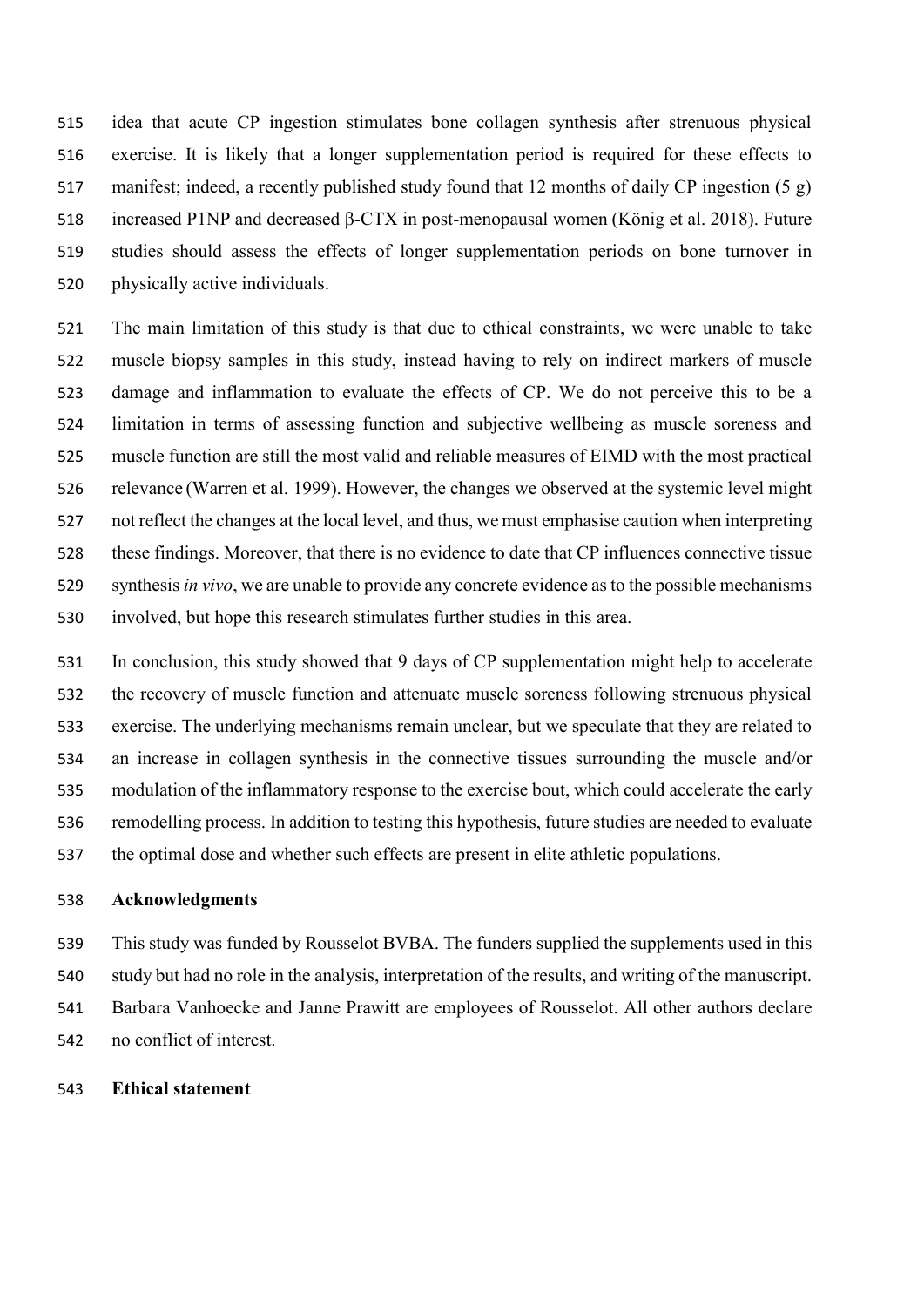idea that acute CP ingestion stimulates bone collagen synthesis after strenuous physical exercise. It is likely that a longer supplementation period is required for these effects to manifest; indeed, a recently published study found that 12 months of daily CP ingestion (5 g) increased P1NP and decreased β-CTX in post-menopausal women (König et al. 2018). Future studies should assess the effects of longer supplementation periods on bone turnover in physically active individuals.

 The main limitation of this study is that due to ethical constraints, we were unable to take muscle biopsy samples in this study, instead having to rely on indirect markers of muscle damage and inflammation to evaluate the effects of CP. We do not perceive this to be a limitation in terms of assessing function and subjective wellbeing as muscle soreness and muscle function are still the most valid and reliable measures of EIMD with the most practical relevance (Warren et al. 1999). However, the changes we observed at the systemic level might not reflect the changes at the local level, and thus, we must emphasise caution when interpreting these findings. Moreover, that there is no evidence to date that CP influences connective tissue synthesis *in vivo*, we are unable to provide any concrete evidence as to the possible mechanisms involved, but hope this research stimulates further studies in this area.

 In conclusion, this study showed that 9 days of CP supplementation might help to accelerate the recovery of muscle function and attenuate muscle soreness following strenuous physical exercise. The underlying mechanisms remain unclear, but we speculate that they are related to an increase in collagen synthesis in the connective tissues surrounding the muscle and/or modulation of the inflammatory response to the exercise bout, which could accelerate the early remodelling process. In addition to testing this hypothesis, future studies are needed to evaluate the optimal dose and whether such effects are present in elite athletic populations.

#### **Acknowledgments**

 This study was funded by Rousselot BVBA. The funders supplied the supplements used in this study but had no role in the analysis, interpretation of the results, and writing of the manuscript. Barbara Vanhoecke and Janne Prawitt are employees of Rousselot. All other authors declare no conflict of interest.

#### **Ethical statement**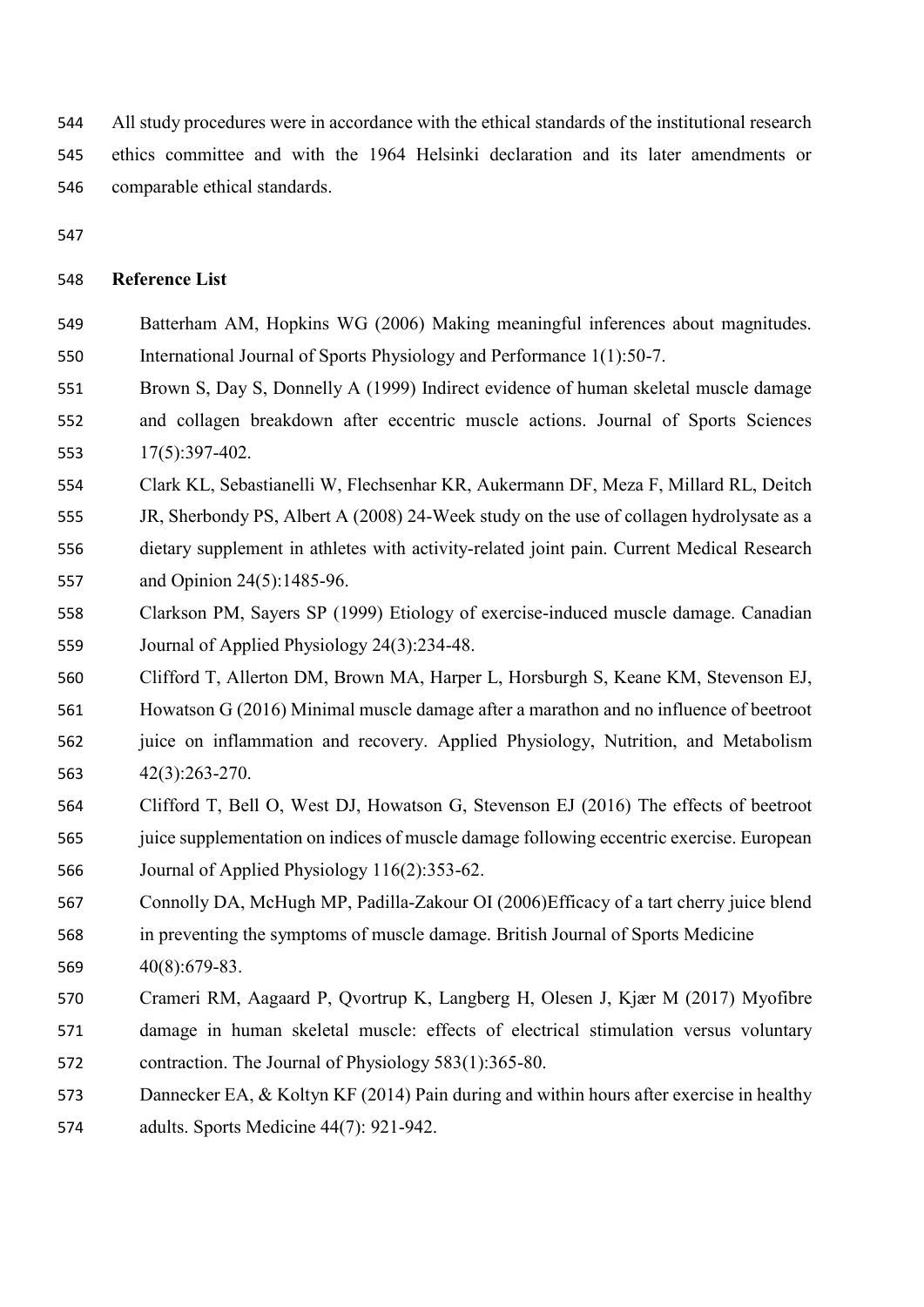All study procedures were in accordance with the ethical standards of the institutional research ethics committee and with the 1964 Helsinki declaration and its later amendments or comparable ethical standards.

## **Reference List**

- Batterham AM, Hopkins WG (2006) Making meaningful inferences about magnitudes. International Journal of Sports Physiology and Performance 1(1):50-7.
- Brown S, Day S, Donnelly A (1999) Indirect evidence of human skeletal muscle damage and collagen breakdown after eccentric muscle actions. Journal of Sports Sciences 17(5):397-402.
- Clark KL, Sebastianelli W, Flechsenhar KR, Aukermann DF, Meza F, Millard RL, Deitch
- JR, Sherbondy PS, Albert A (2008) 24-Week study on the use of collagen hydrolysate as a dietary supplement in athletes with activity-related joint pain. Current Medical Research and Opinion 24(5):1485-96.
- Clarkson PM, Sayers SP (1999) Etiology of exercise-induced muscle damage. Canadian Journal of Applied Physiology 24(3):234-48.
- Clifford T, Allerton DM, Brown MA, Harper L, Horsburgh S, Keane KM, Stevenson EJ, Howatson G (2016) Minimal muscle damage after a marathon and no influence of beetroot juice on inflammation and recovery. Applied Physiology, Nutrition, and Metabolism
- 42(3):263-270.
- Clifford T, Bell O, West DJ, Howatson G, Stevenson EJ (2016) The effects of beetroot juice supplementation on indices of muscle damage following eccentric exercise. European Journal of Applied Physiology 116(2):353-62.
- Connolly DA, McHugh MP, Padilla-Zakour OI (2006)Efficacy of a tart cherry juice blend in preventing the symptoms of muscle damage. British Journal of Sports Medicine 40(8):679-83.
- Crameri RM, Aagaard P, Qvortrup K, Langberg H, Olesen J, Kjær M (2017) Myofibre damage in human skeletal muscle: effects of electrical stimulation versus voluntary
- contraction. The Journal of Physiology 583(1):365-80.
- Dannecker EA, & Koltyn KF (2014) Pain during and within hours after exercise in healthy adults. Sports Medicine 44(7): 921-942.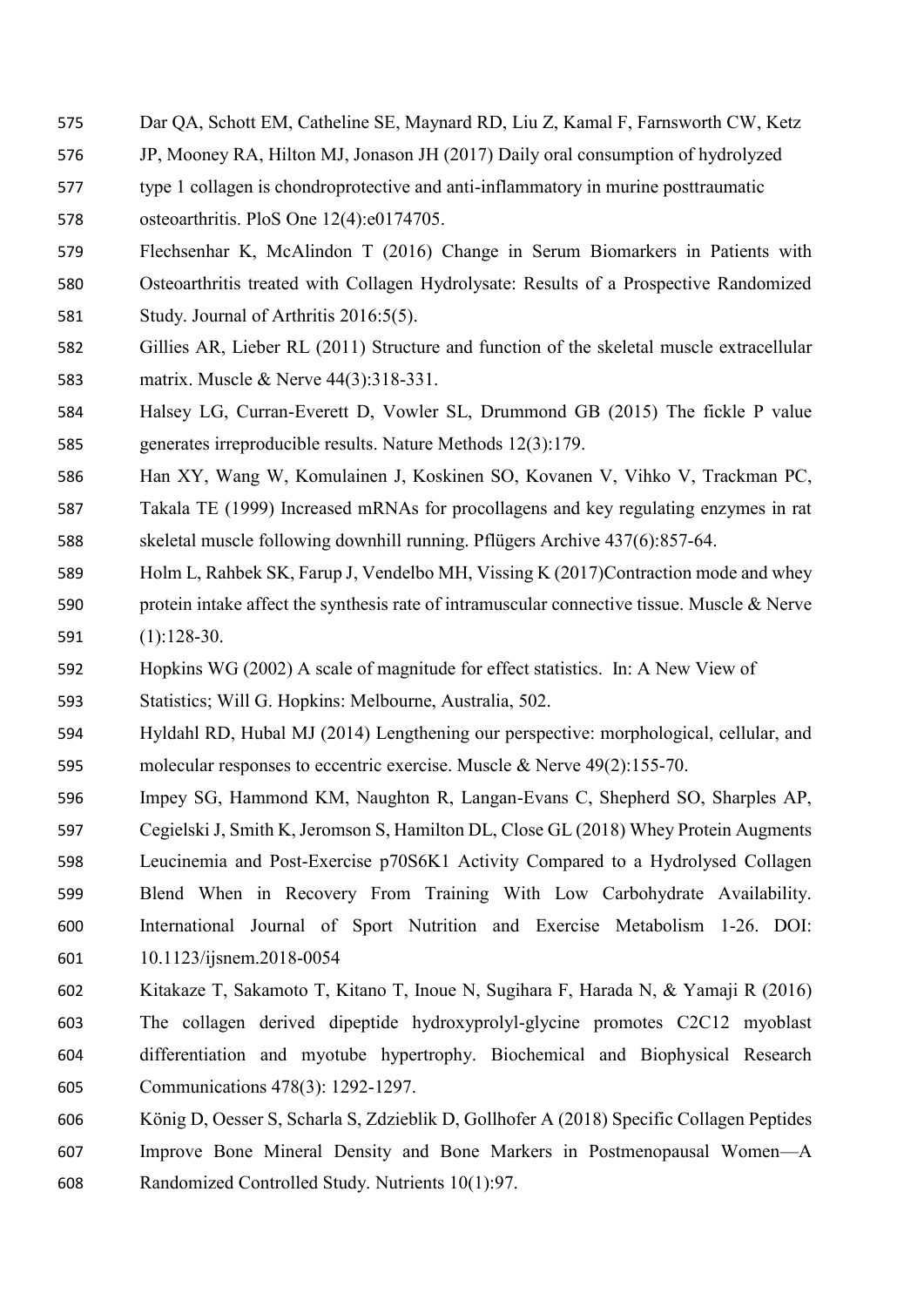- Dar QA, Schott EM, Catheline SE, Maynard RD, Liu Z, Kamal F, Farnsworth CW, Ketz
- JP, Mooney RA, Hilton MJ, Jonason JH (2017) Daily oral consumption of hydrolyzed
- type 1 collagen is chondroprotective and anti-inflammatory in murine posttraumatic osteoarthritis. PloS One 12(4):e0174705.
- Flechsenhar K, McAlindon T (2016) Change in Serum Biomarkers in Patients with Osteoarthritis treated with Collagen Hydrolysate: Results of a Prospective Randomized Study. Journal of Arthritis 2016:5(5).
- Gillies AR, Lieber RL (2011) Structure and function of the skeletal muscle extracellular matrix. Muscle & Nerve 44(3):318-331.
- Halsey LG, Curran-Everett D, Vowler SL, Drummond GB (2015) The fickle P value generates irreproducible results. Nature Methods 12(3):179.
- Han XY, Wang W, Komulainen J, Koskinen SO, Kovanen V, Vihko V, Trackman PC,
- Takala TE (1999) Increased mRNAs for procollagens and key regulating enzymes in rat skeletal muscle following downhill running. Pflügers Archive 437(6):857-64.
- Holm L, Rahbek SK, Farup J, Vendelbo MH, Vissing K (2017)Contraction mode and whey protein intake affect the synthesis rate of intramuscular connective tissue. Muscle & Nerve (1):128-30.
- Hopkins WG (2002) A scale of magnitude for effect statistics. In: A New View of
- Statistics; Will G. Hopkins: Melbourne, Australia, 502.
- Hyldahl RD, Hubal MJ (2014) Lengthening our perspective: morphological, cellular, and molecular responses to eccentric exercise. Muscle & Nerve 49(2):155-70.
- Impey SG, Hammond KM, Naughton R, Langan-Evans C, Shepherd SO, Sharples AP, Cegielski J, Smith K, Jeromson S, Hamilton DL, Close GL (2018) Whey Protein Augments Leucinemia and Post-Exercise p70S6K1 Activity Compared to a Hydrolysed Collagen Blend When in Recovery From Training With Low Carbohydrate Availability. International Journal of Sport Nutrition and Exercise Metabolism 1-26. DOI: 10.1123/ijsnem.2018-0054
- Kitakaze T, Sakamoto T, Kitano T, Inoue N, Sugihara F, Harada N, & Yamaji R (2016) The collagen derived dipeptide hydroxyprolyl-glycine promotes C2C12 myoblast differentiation and myotube hypertrophy. Biochemical and Biophysical Research Communications 478(3): 1292-1297.
- König D, Oesser S, Scharla S, Zdzieblik D, Gollhofer A (2018) Specific Collagen Peptides Improve Bone Mineral Density and Bone Markers in Postmenopausal Women—A Randomized Controlled Study. Nutrients 10(1):97.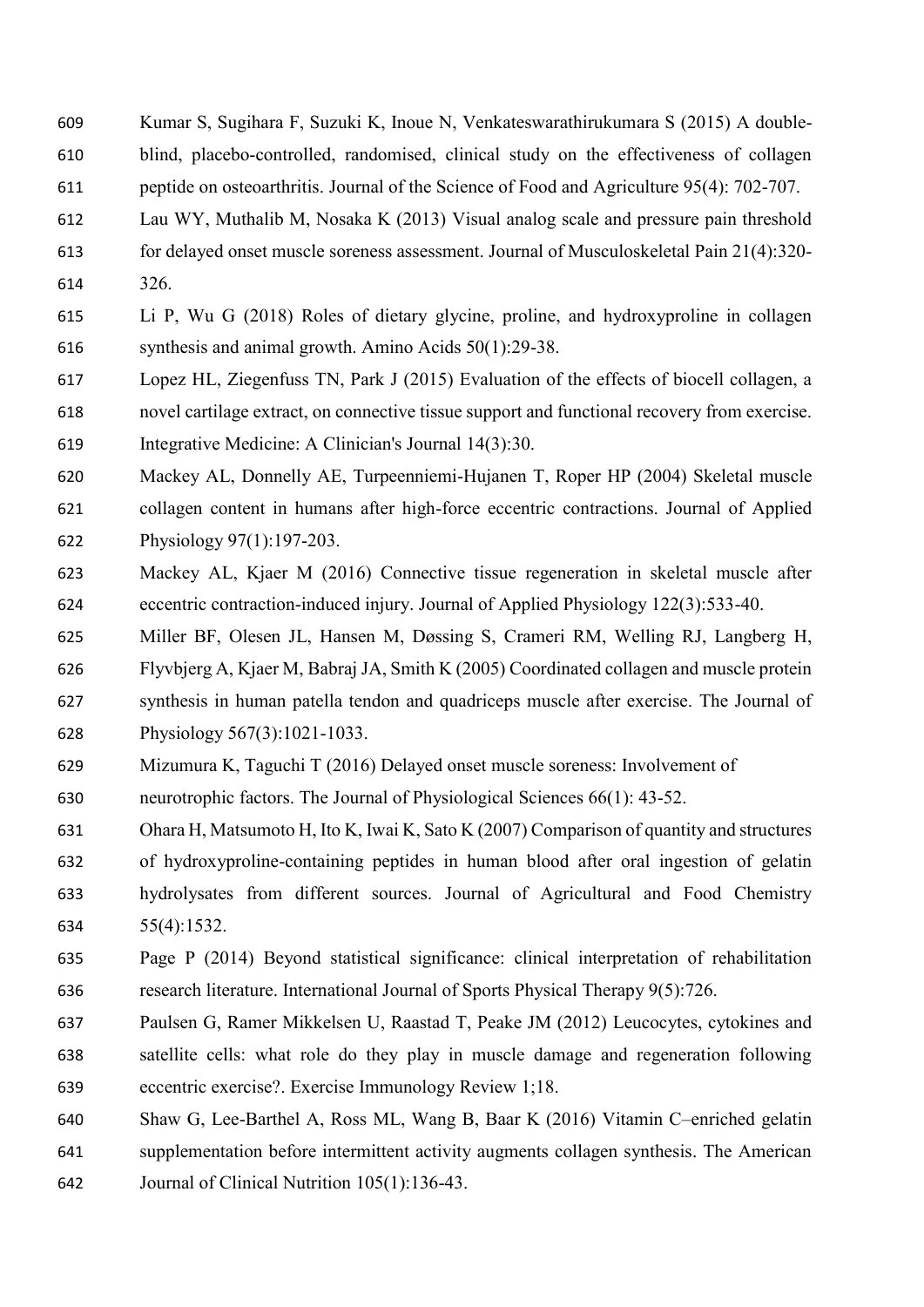- Kumar S, Sugihara F, Suzuki K, Inoue N, Venkateswarathirukumara S (2015) A double‐ blind, placebo‐controlled, randomised, clinical study on the effectiveness of collagen peptide on osteoarthritis. Journal of the Science of Food and Agriculture 95(4): 702-707.
- Lau WY, Muthalib M, Nosaka K (2013) Visual analog scale and pressure pain threshold
- 
- for delayed onset muscle soreness assessment. Journal of Musculoskeletal Pain 21(4):320-
- 326.
- Li P, Wu G (2018) Roles of dietary glycine, proline, and hydroxyproline in collagen synthesis and animal growth. Amino Acids 50(1):29-38.
- Lopez HL, Ziegenfuss TN, Park J (2015) Evaluation of the effects of biocell collagen, a novel cartilage extract, on connective tissue support and functional recovery from exercise. Integrative Medicine: A Clinician's Journal 14(3):30.
- Mackey AL, Donnelly AE, Turpeenniemi-Hujanen T, Roper HP (2004) Skeletal muscle collagen content in humans after high-force eccentric contractions. Journal of Applied Physiology 97(1):197-203.
- Mackey AL, Kjaer M (2016) Connective tissue regeneration in skeletal muscle after eccentric contraction-induced injury. Journal of Applied Physiology 122(3):533-40.
- Miller BF, Olesen JL, Hansen M, Døssing S, Crameri RM, Welling RJ, Langberg H, Flyvbjerg A, Kjaer M, Babraj JA, Smith K (2005) Coordinated collagen and muscle protein synthesis in human patella tendon and quadriceps muscle after exercise. The Journal of Physiology 567(3):1021-1033.
- Mizumura K, Taguchi T (2016) Delayed onset muscle soreness: Involvement of
- neurotrophic factors. The Journal of Physiological Sciences 66(1): 43-52.
- Ohara H, Matsumoto H, Ito K, Iwai K, Sato K (2007) Comparison of quantity and structures
- of hydroxyproline-containing peptides in human blood after oral ingestion of gelatin hydrolysates from different sources. Journal of Agricultural and Food Chemistry 55(4):1532.
- Page P (2014) Beyond statistical significance: clinical interpretation of rehabilitation research literature. International Journal of Sports Physical Therapy 9(5):726.
- Paulsen G, Ramer Mikkelsen U, Raastad T, Peake JM (2012) Leucocytes, cytokines and satellite cells: what role do they play in muscle damage and regeneration following eccentric exercise?. Exercise Immunology Review 1;18.
- Shaw G, Lee-Barthel A, Ross ML, Wang B, Baar K (2016) Vitamin C–enriched gelatin
- supplementation before intermittent activity augments collagen synthesis. The American
- Journal of Clinical Nutrition 105(1):136-43.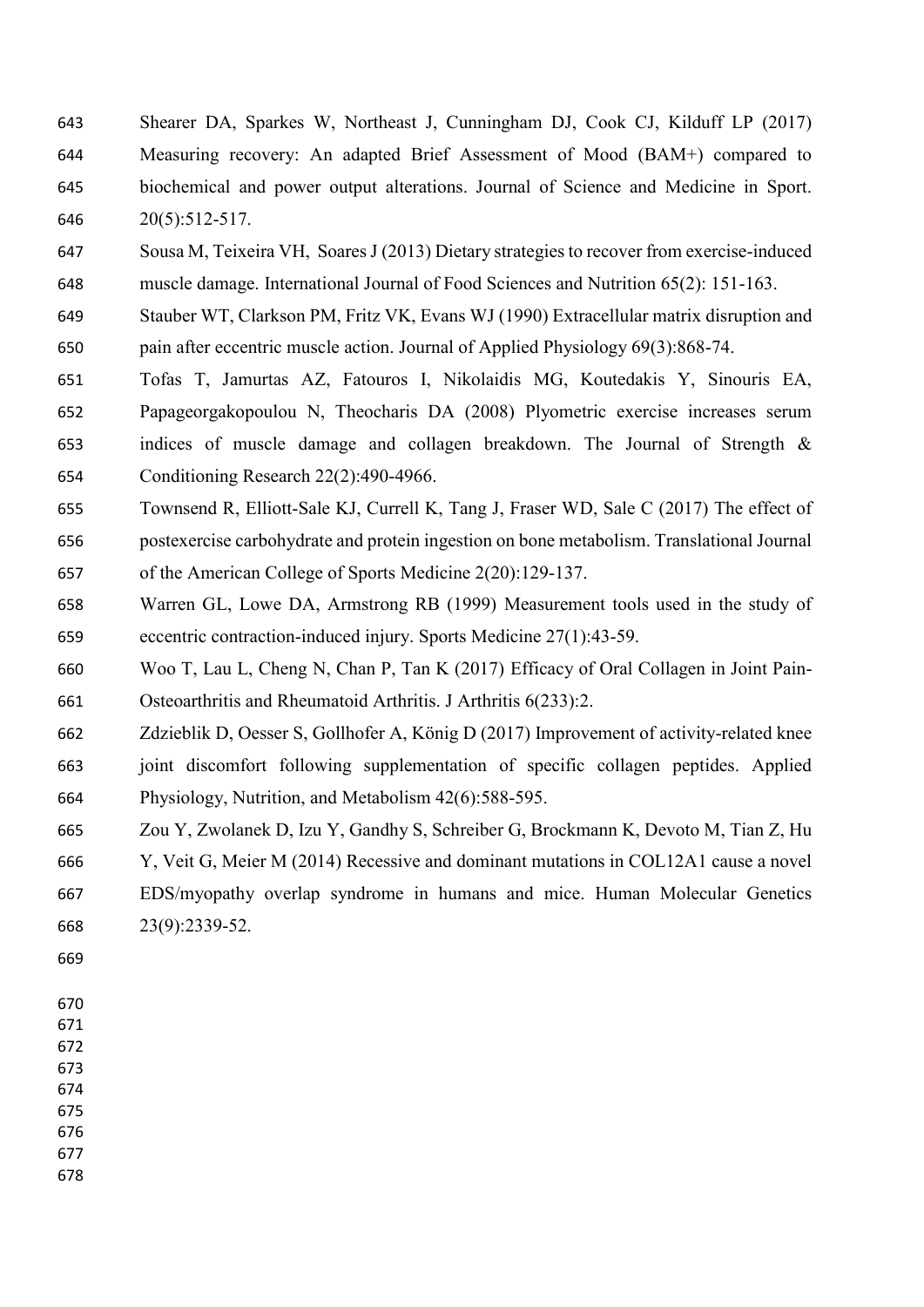- Shearer DA, Sparkes W, Northeast J, Cunningham DJ, Cook CJ, Kilduff LP (2017) Measuring recovery: An adapted Brief Assessment of Mood (BAM+) compared to biochemical and power output alterations. Journal of Science and Medicine in Sport. 20(5):512-517.
- Sousa M, Teixeira VH, Soares J (2013) Dietary strategies to recover from exercise-induced muscle damage. International Journal of Food Sciences and Nutrition 65(2): 151-163.
- Stauber WT, Clarkson PM, Fritz VK, Evans WJ (1990) Extracellular matrix disruption and pain after eccentric muscle action. Journal of Applied Physiology 69(3):868-74.
- Tofas T, Jamurtas AZ, Fatouros I, Nikolaidis MG, Koutedakis Y, Sinouris EA, Papageorgakopoulou N, Theocharis DA (2008) Plyometric exercise increases serum indices of muscle damage and collagen breakdown. The Journal of Strength & Conditioning Research 22(2):490-4966.
- Townsend R, Elliott-Sale KJ, Currell K, Tang J, Fraser WD, Sale C (2017) The effect of postexercise carbohydrate and protein ingestion on bone metabolism. Translational Journal of the American College of Sports Medicine 2(20):129-137.
- Warren GL, Lowe DA, Armstrong RB (1999) Measurement tools used in the study of eccentric contraction-induced injury. Sports Medicine 27(1):43-59.
- Woo T, Lau L, Cheng N, Chan P, Tan K (2017) Efficacy of Oral Collagen in Joint Pain-Osteoarthritis and Rheumatoid Arthritis. J Arthritis 6(233):2.
- Zdzieblik D, Oesser S, Gollhofer A, König D (2017) Improvement of activity-related knee
- joint discomfort following supplementation of specific collagen peptides. Applied Physiology, Nutrition, and Metabolism 42(6):588-595.
- Zou Y, Zwolanek D, Izu Y, Gandhy S, Schreiber G, Brockmann K, Devoto M, Tian Z, Hu
- Y, Veit G, Meier M (2014) Recessive and dominant mutations in COL12A1 cause a novel EDS/myopathy overlap syndrome in humans and mice. Human Molecular Genetics 23(9):2339-52.
- 
- 
-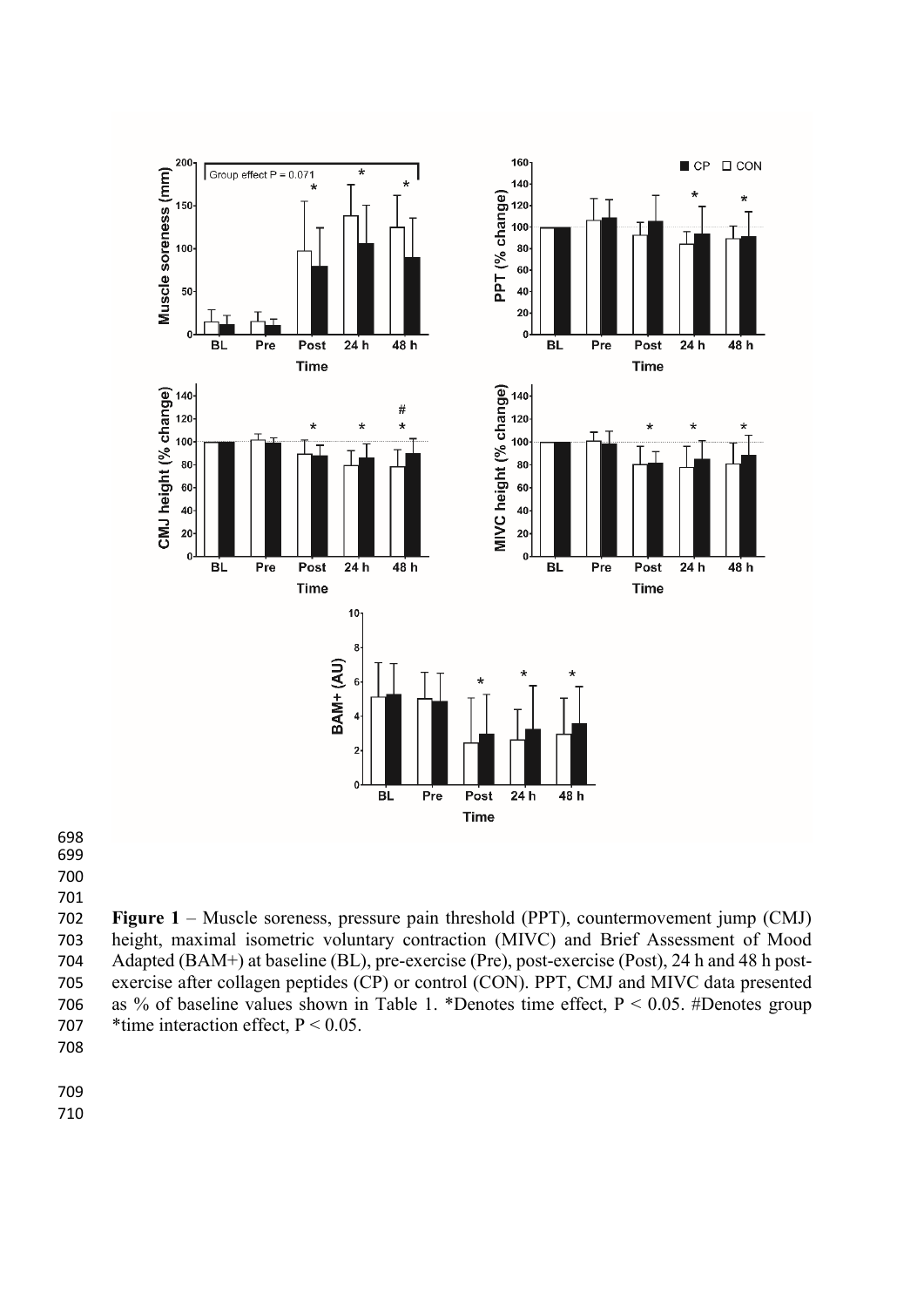

 

 **Figure 1** – Muscle soreness, pressure pain threshold (PPT), countermovement jump (CMJ) height, maximal isometric voluntary contraction (MIVC) and Brief Assessment of Mood Adapted (BAM+) at baseline (BL), pre-exercise (Pre), post-exercise (Post), 24 h and 48 h post- exercise after collagen peptides (CP) or control (CON). PPT, CMJ and MIVC data presented as % of baseline values shown in Table 1. \*Denotes time effect, P < 0.05. #Denotes group 707 \* time interaction effect, P < 0.05.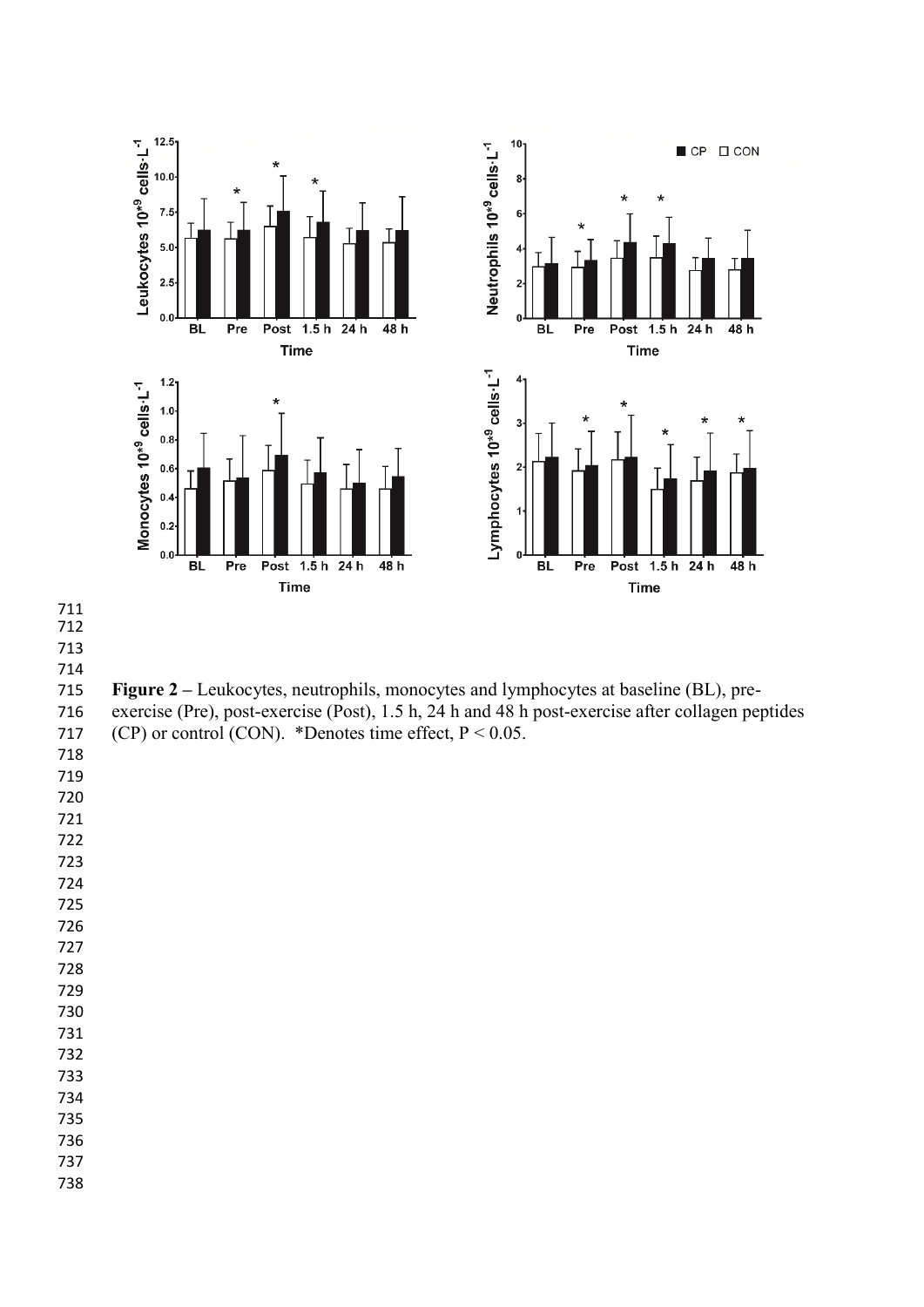

 **Figure 2 –** Leukocytes, neutrophils, monocytes and lymphocytes at baseline (BL), pre-exercise (Pre), post-exercise (Post), 1.5 h, 24 h and 48 h post-exercise after collagen peptides

717 (CP) or control (CON). \*Denotes time effect,  $P < 0.05$ .

- 
- 
- 
- 
- 
- 
- 
- 
- 
- 
- 
- 

- 
- 
- 
- 
-